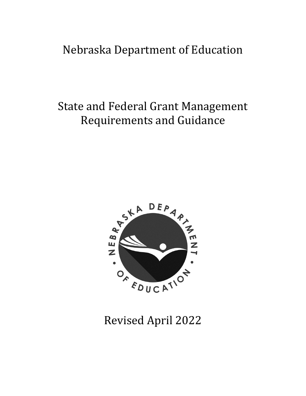## Nebraska Department of Education

## State and Federal Grant Management Requirements and Guidance



# Revised April 2022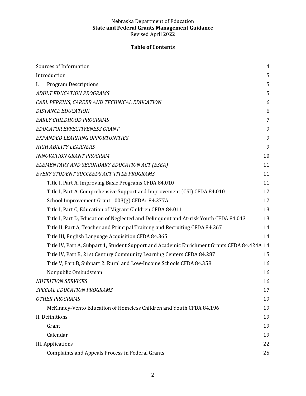## **Table of Contents**

| Sources of Information                                                                      | 4  |
|---------------------------------------------------------------------------------------------|----|
| Introduction                                                                                | 5  |
| <b>Program Descriptions</b><br>I.                                                           | 5  |
| <b>ADULT EDUCATION PROGRAMS</b>                                                             | 5  |
| CARL PERKINS, CAREER AND TECHNICAL EDUCATION                                                | 6  |
| <b>DISTANCE EDUCATION</b>                                                                   | 6  |
| EARLY CHILDHOOD PROGRAMS                                                                    | 7  |
| EDUCATOR EFFECTIVENESS GRANT                                                                | 9  |
| EXPANDED LEARNING OPPORTUNITIES                                                             | 9  |
| <b>HIGH ABILITY LEARNERS</b>                                                                | 9  |
| <b>INNOVATION GRANT PROGRAM</b>                                                             | 10 |
| ELEMENTARY AND SECONDARY EDUCATION ACT (ESEA)                                               | 11 |
| EVERY STUDENT SUCCEEDS ACT TITLE PROGRAMS                                                   | 11 |
| Title I, Part A, Improving Basic Programs CFDA 84.010                                       | 11 |
| Title I, Part A, Comprehensive Support and Improvement (CSI) CFDA 84.010                    | 12 |
| School Improvement Grant 1003(g) CFDA: 84.377A                                              | 12 |
| Title I, Part C, Education of Migrant Children CFDA 84.011                                  | 13 |
| Title I, Part D, Education of Neglected and Delinquent and At-risk Youth CFDA 84.013        | 13 |
| Title II, Part A, Teacher and Principal Training and Recruiting CFDA 84.367                 | 14 |
| Title III, English Language Acquisition CFDA 84.365                                         | 14 |
| Title IV, Part A, Subpart 1, Student Support and Academic Enrichment Grants CFDA 84.424A 14 |    |
| Title IV, Part B, 21st Century Community Learning Centers CFDA 84.287                       | 15 |
| Title V, Part B, Subpart 2: Rural and Low-Income Schools CFDA 84.358                        | 16 |
| Nonpublic Ombudsman                                                                         | 16 |
| <b>NUTRITION SERVICES</b>                                                                   | 16 |
| SPECIAL EDUCATION PROGRAMS                                                                  | 17 |
| <b>OTHER PROGRAMS</b>                                                                       | 19 |
| McKinney-Vento Education of Homeless Children and Youth CFDA 84.196                         | 19 |
| II. Definitions                                                                             | 19 |
| Grant                                                                                       | 19 |
| Calendar                                                                                    | 19 |
| <b>III.</b> Applications                                                                    | 22 |
| <b>Complaints and Appeals Process in Federal Grants</b>                                     | 25 |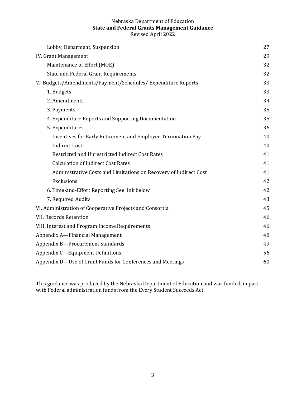| Lobby, Debarment, Suspension                                      | 27 |
|-------------------------------------------------------------------|----|
| <b>IV. Grant Management</b>                                       |    |
| Maintenance of Effort (MOE)                                       |    |
| <b>State and Federal Grant Requirements</b>                       | 32 |
| V. Budgets/Amendments/Payment/Schedules/Expenditure Reports       | 33 |
| 1. Budgets                                                        | 33 |
| 2. Amendments                                                     | 34 |
| 3. Payments                                                       | 35 |
| 4. Expenditure Reports and Supporting Documentation               | 35 |
| 5. Expenditures                                                   | 36 |
| Incentives for Early Retirement and Employee Termination Pay      | 40 |
| <b>Indirect Cost</b>                                              | 40 |
| Restricted and Unrestricted Indirect Cost Rates                   | 41 |
| <b>Calculation of Indirect Cost Rates</b>                         | 41 |
| Administrative Costs and Limitations on Recovery of Indirect Cost | 41 |
| Exclusions                                                        | 42 |
| 6. Time-and-Effort Reporting See link below                       |    |
| 7. Required Audits                                                |    |
| VI. Administration of Cooperative Projects and Consortia          |    |
| <b>VII. Records Retention</b>                                     |    |
| VIII. Interest and Program Income Requirements                    |    |
| Appendix A-Financial Management                                   | 48 |
| Appendix B-Procurement Standards                                  | 49 |
| Appendix C-Equipment Definitions                                  | 56 |
| Appendix D-Use of Grant Funds for Conferences and Meetings        |    |
|                                                                   |    |

This guidance was produced by the Nebraska Department of Education and was funded, in part, with Federal administration funds from the Every Student Succeeds Act.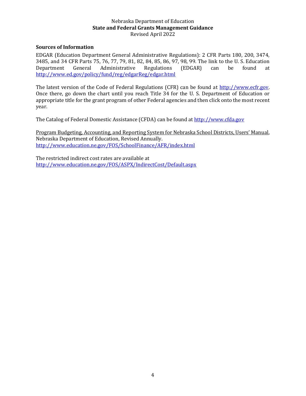#### <span id="page-3-0"></span>**Sources of Information**

EDGAR (Education Department General Administrative Regulations): 2 CFR Parts 180, 200, 3474, 3485, and 34 CFR Parts 75, 76, 77, 79, 81, 82, 84, 85, 86, 97, 98, 99. The link to the U. S. Education Department General Administrative Regulations (EDGAR) can be found at <http://www.ed.gov/policy/fund/reg/edgarReg/edgar.html>

The latest version of the Code of Federal Regulations (CFR) can be found at [http://www.ecfr.gov.](http://www.ecfr.gov/) Once there, go down the chart until you reach Title 34 for the U. S. Department of Education or appropriate title for the grant program of other Federal agencies and then click onto the most recent year.

The Catalog of Federal Domestic Assistance (CFDA) can be found at [http://www.cfda.gov](http://www.cfda.gov/)

Program Budgeting, Accounting, and Reporting System for Nebraska School Districts, Users' Manual, Nebraska Department of Education, Revised Annually. [http://www.education.ne.gov/FOS/SchoolFinance/AFR/i](http://www.education.ne.gov/FOS/SchoolFinance/AFR/)ndex.html

The restricted indirect cost rates are available at <http://www.education.ne.gov/FOS/ASPX/IndirectCost/Default.aspx>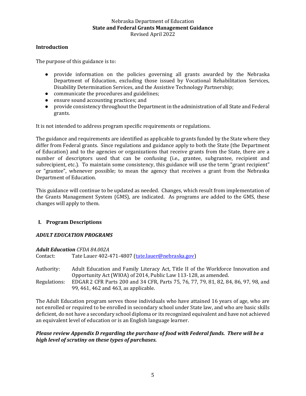## <span id="page-4-0"></span>**Introduction**

The purpose of this guidance is to:

- provide information on the policies governing all grants awarded by the Nebraska Department of Education, excluding those issued by Vocational Rehabilitation Services, Disability Determination Services, and the Assistive Technology Partnership;
- communicate the procedures and guidelines;
- ensure sound accounting practices; and
- provide consistency throughout the Department in the administration of all State and Federal grants.

It is not intended to address program specific requirements or regulations.

The guidance and requirements are identified as applicable to grants funded by the State where they differ from Federal grants. Since regulations and guidance apply to both the State (the Department of Education) and to the agencies or organizations that receive grants from the State, there are a number of descriptors used that can be confusing (i.e., grantee, subgrantee, recipient and subrecipient, etc.). To maintain some consistency, this guidance will use the term "grant recipient" or "grantee", whenever possible; to mean the agency that receives a grant from the Nebraska Department of Education.

This guidance will continue to be updated as needed. Changes, which result from implementation of the Grants Management System (GMS), are indicated. As programs are added to the GMS, these changes will apply to them.

## <span id="page-4-1"></span>**I. Program Descriptions**

## <span id="page-4-2"></span>*ADULT EDUCATION PROGRAMS*

#### *Adult Education CFDA 84.002A*

Contact: Tate Lauer 402-471-4807 [\(tate.lauer@nebraska.gov\)](mailto:tate.lauer@nebraska.gov)

Authority: Adult Education and Family Literacy Act, Title II of the Workforce Innovation and Opportunity Act (WIOA) of 2014, Public Law 113-128, as amended. Regulations: EDGAR 2 CFR Parts 200 and 34 CFR, Parts 75, 76, 77, 79, 81, 82, 84, 86, 97, 98, and 99, 461, 462 and 463, as applicable.

The Adult Education program serves those individuals who have attained 16 years of age, who are not enrolled or required to be enrolled in secondary school under State law, and who are basic skills deficient, do not have a secondary school diploma or its recognized equivalent and have not achieved an equivalent level of education or is an English language learner.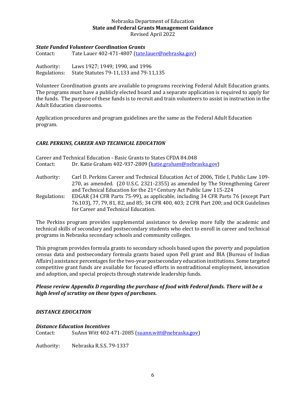#### *State Funded Volunteer Coordination Grants*

Contact: Tate Lauer 402-471-4807 [\(tate.lauer@nebraska.gov\)](mailto:tate.lauer@nebraska.gov)

Authority: Laws 1927; 1949; 1990, and 1996 Regulations: State Statutes 79-11,133 and 79-11,135

Volunteer Coordination grants are available to programs receiving Federal Adult Education grants. The programs must have a publicly elected board and a separate application is required to apply for the funds. The purpose of these funds is to recruit and train volunteers to assist in instruction in the Adult Education classrooms.

Application procedures and program guidelines are the same as the Federal Adult Education program.

## <span id="page-5-0"></span>*CARL PERKINS, CAREER AND TECHNICAL EDUCATION*

|              | Career and Technical Education - Basic Grants to States CFDA 84.048                                                                                  |
|--------------|------------------------------------------------------------------------------------------------------------------------------------------------------|
| Contact:     | Dr. Katie Graham 402-937-2809 (katie.graham@nebraska.gov)                                                                                            |
| Authority:   | Carl D. Perkins Career and Technical Education Act of 2006, Title I, Public Law 109-                                                                 |
|              | 270, as amended. (20 U.S.C. 2321-2355) as amended by The Strengthening Career<br>and Technical Education for the 21st Century Act Public Law 115-224 |
| Regulations: | EDGAR (34 CFR Parts 75-99), as applicable, including 34 CFR Parts 76 (except Part                                                                    |
|              | 76.103), 77, 79, 81, 82, and 85; 34 CFR 400, 403; 2 CFR Part 200; and OCR Guidelines                                                                 |
|              | for Career and Technical Education.                                                                                                                  |

The Perkins program provides supplemental assistance to develop more fully the academic and technical skills of secondary and postsecondary students who elect to enroll in career and technical programs in Nebraska secondary schools and community colleges.

This program provides formula grants to secondary schools based upon the poverty and population census data and postsecondary formula grants based upon Pell grant and BIA (Bureau of Indian Affairs) assistance percentages for the two-year postsecondary education institutions. Some targeted competitive grant funds are available for focused efforts in nontraditional employment, innovation and adoption, and special projects through statewide leadership funds.

## *Please review Appendix D regarding the purchase of food with Federal funds. There will be a high level of scrutiny on these types of purchases.*

## <span id="page-5-1"></span>*DISTANCE EDUCATION*

#### *Distance Education Incentives*

Contact: SuAnn Witt 402-471-2085 [\(suann.witt@nebraska.gov\)](mailto:suann.witt@nebraska.gov)

Authority: Nebraska R.S.S. 79-1337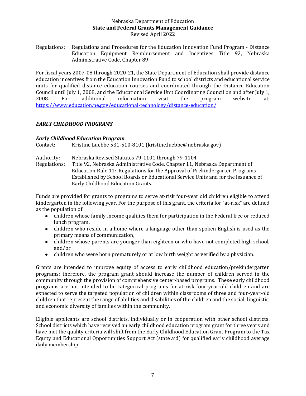Regulations: Regulations and Procedures for the Education Innovation Fund Program - Distance Education Equipment Reimbursement and Incentives Title 92, Nebraska Administrative Code, Chapter 89

For fiscal years 2007-08 through 2020-21, the State Department of Education shall provide distance education incentives from the Education Innovation Fund to school districts and educational service units for qualified distance education courses and coordinated through the Distance Education Council until July 1, 2008, and the Educational Service Unit Coordinating Council on and after July 1, 2008. For additional information visit the program website at: <https://www.education.ne.gov/educational-technology/distance-education/>

## <span id="page-6-0"></span>*EARLY CHILDHOOD PROGRAMS*

## *Early Childhood Education Program*

Contact: Kristine Luebbe 531-510-8101 (kristine.luebbe@nebraska.gov)

| Authority:   | Nebraska Revised Statutes 79-1101 through 79-1104                                 |  |
|--------------|-----------------------------------------------------------------------------------|--|
| Regulations: | Title 92, Nebraska Administrative Code, Chapter 11, Nebraska Department of        |  |
|              | Education Rule 11: Regulations for the Approval of Prekindergarten Programs       |  |
|              | Established by School Boards or Educational Service Units and for the Issuance of |  |
|              | Early Childhood Education Grants.                                                 |  |

Funds are provided for grants to programs to serve at-risk four-year old children eligible to attend kindergarten in the following year. For the purpose of this grant, the criteria for "at-risk" are defined as the population of:

- children whose family income qualifies them for participation in the Federal free or reduced lunch program,
- children who reside in a home where a language other than spoken English is used as the primary means of communication,
- children whose parents are younger than eighteen or who have not completed high school, and/or
- children who were born prematurely or at low birth weight as verified by a physician.

Grants are intended to improve equity of access to early childhood education/prekindergarten programs; therefore, the program grant should increase the number of children served in the community through the provision of comprehensive center-based programs. These early childhood programs are not intended to be categorical programs for at-risk four-year-old children and are expected to serve the targeted population of children within classrooms of three and four-year-old children that represent the range of abilities and disabilities of the children and the social, linguistic, and economic diversity of families within the community.

Eligible applicants are school districts, individually or in cooperation with other school districts. School districts which have received an early childhood education program grant for three years and have met the quality criteria will shift from the Early Childhood Education Grant Program to the Tax Equity and Educational Opportunities Support Act (state aid) for qualified early childhood average daily membership.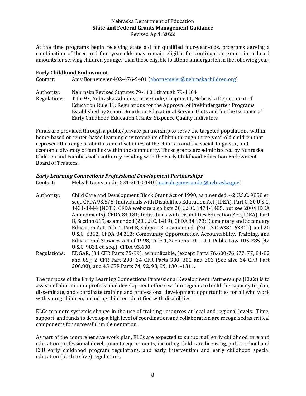At the time programs begin receiving state aid for qualified four-year-olds, programs serving a combination of three and four-year-olds may remain eligible for continuation grants in reduced amounts for serving children younger than those eligible to attend kindergarten in the following year.

## **Early Childhood Endowment**

Contact: Amy Bornemeier 402-476-9401 [\(abornemeier@nebraskachildren.org\)](mailto:abornemeier@nebraskachildren.org)

Authority: Nebraska Revised Statutes 79-1101 through 79-1104 Regulations: Title 92, Nebraska Administrative Code, Chapter 11, Nebraska Department of Education Rule 11: Regulations for the Approval of Prekindergarten Programs Established by School Boards or Educational Service Units and for the Issuance of Early Childhood Education Grants; Sixpence Quality Indicators

Funds are provided through a public/private partnership to serve the targeted populations within home-based or center-based learning environments of birth through three-year-old children that represent the range of abilities and disabilities of the children and the social, linguistic, and economic diversity of families within the community. These grants are administered by Nebraska Children and Families with authority residing with the Early Childhood Education Endowment Board of Trustees.

## *Early Learning Connections Professional Development Partnerships*

| Contact:     | Meleah Gamvroudis 531-301-0140 (meleah.gamvroudis@nebraska.gov)                          |
|--------------|------------------------------------------------------------------------------------------|
| Authority:   | Child Care and Development Block Grant Act of 1990, as amended, 42 U.S.C. 9858 et.       |
|              | seq., CFDA 93.575; Individuals with Disabilities Education Act (IDEA), Part C, 20 U.S.C. |
|              | 1431-1444 (NOTE: CFDA website also lists 20 U.S.C. 1471-1485, but see 2004 IDEA          |
|              | Amendments), CFDA 84.181; Individuals with Disabilities Education Act (IDEA), Part       |
|              | B, Section 619, as amended (20 U.S.C. 1419), CFDA 84.173; Elementary and Secondary       |
|              | Education Act, Title 1, Part B, Subpart 3, as amended. (20 U.S.C. 6381-6381k), and 20    |
|              | U.S.C. 6362, CFDA 84.213; Community Opportunities, Accountability, Training, and         |
|              | Educational Services Act of 1998, Title 1, Sections 101-119, Public Law 105-285 (42      |
|              | U.S.C. 9831 et. seq.), CFDA 93.600.                                                      |
| Regulations: | EDGAR, (34 CFR Parts 75-99), as applicable, (except Parts 76.600-76.677, 77, 81-82       |
|              | and 85); 2 CFR Part 200; 34 CFR Parts 300, 301 and 303 (See also 34 CFR Part             |
|              | 200.80); and 45 CFR Parts 74, 92, 98, 99, 1301-1311.                                     |

The purpose of the Early Learning Connections Professional Development Partnerships (ELCs) is to assist collaboration in professional development efforts within regions to build the capacity to plan, disseminate, and coordinate training and professional development opportunities for all who work with young children, including children identified with disabilities.

ELCs promote systemic change in the use of training resources at local and regional levels. Time, support, and funds to develop a high level of coordination and collaboration are recognized as critical components for successful implementation.

As part of the comprehensive work plan, ELCs are expected to support all early childhood care and education professional development requirements, including child care licensing, public school and ESU early childhood program regulations, and early intervention and early childhood special education (birth to five) regulations.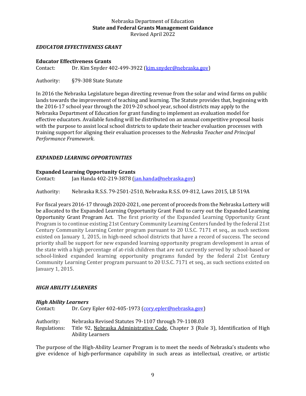## <span id="page-8-0"></span>*EDUCATOR EFFECTIVENESS GRANT*

#### **Educator Effectiveness Grants**

Contact: Dr. Kim Snyder 402-499-3922 [\(kim.snyder@nebraska.gov\)](mailto:kim.snyder@nebraska.gov)

Authority: §79-308 State Statute

In 2016 the Nebraska Legislature began directing revenue from the solar and wind farms on public lands towards the improvement of teaching and learning. The Statute provides that, beginning with the 2016-17 school year through the 2019-20 school year, school districts may apply to the Nebraska Department of Education for grant funding to implement an evaluation model for effective educators. Available funding will be distributed on an annual competitive proposal basis with the purpose to assist local school districts to update their teacher evaluation processes with training support for aligning their evaluation processes to the *Nebraska Teacher and Principal Performance Framework*.

## <span id="page-8-1"></span>*EXPANDED LEARNING OPPORTUNITIES*

#### **Expanded Learning Opportunity Grants**

Contact: Jan Handa 402-219-3878 [\(jan.handa@nebraska.gov\)](mailto:jan.handa@nebraska.gov)

Authority: Nebraska R.S.S. 79-2501-2510, Nebraska R.S.S. 09-812, Laws 2015, LB 519A

For fiscal years 2016-17 through 2020-2021, one percent of proceeds from the Nebraska Lottery will be allocated to the Expanded Learning Opportunity Grant Fund to carry out the Expanded Learning Opportunity Grant Program Act. The first priority of the Expanded Learning Opportunity Grant Program is to continue existing 21st Century Community Learning Centers funded by the federal 21st Century Community Learning Center program pursuant to 20 U.S.C. 7171 et seq., as such sections existed on January 1, 2015, in high-need school districts that have a record of success. The second priority shall be support for new expanded learning opportunity program development in areas of the state with a high percentage of at-risk children that are not currently served by school-based or school-linked expanded learning opportunity programs funded by the federal 21st Century Community Learning Center program pursuant to 20 U.S.C. 7171 et seq., as such sections existed on January 1, 2015.

## <span id="page-8-2"></span>*HIGH ABILITY LEARNERS*

#### *High Ability Learners*

Contact: Dr. Cory Epler 402-405-1973 [\(cory.epler@nebraska.gov\)](mailto:cory.epler@nebraska.gov) Authority: Nebraska Revised Statutes 79-1107 through 79-1108.03 Regulations: Title 92, Nebraska Administrative Code, Chapter 3 (Rule 3), Identification of High Ability Learners

The purpose of the High-Ability Learner Program is to meet the needs of Nebraska's students who give evidence of high-performance capability in such areas as intellectual, creative, or artistic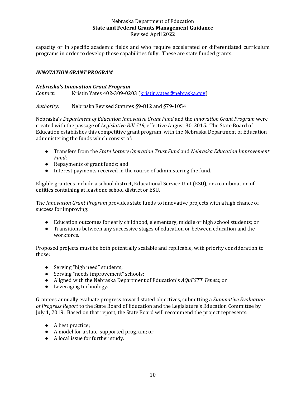capacity or in specific academic fields and who require accelerated or differentiated curriculum programs in order to develop those capabilities fully. These are state funded grants.

## <span id="page-9-0"></span>*INNOVATION GRANT PROGRAM*

#### *Nebraska's Innovation Grant Program*

*Contact:* Kristin Yates 402-309-0203 [\(kristin.yates@nebraska.gov\)](mailto:kristin.yates@nebraska.gov)

*Authority:* Nebraska Revised Statutes §9-812 and §79-1054

Nebraska's *Department of Education Innovative Grant Fund* and the *Innovation Grant Program* were created with the passage of *Legislative Bill 519*, effective August 30, 2015. The State Board of Education establishes this competitive grant program, with the Nebraska Department of Education administering the funds which consist of:

- Transfers from the *State Lottery Operation Trust Fund* and *Nebraska Education Improvement Fund*;
- Repayments of grant funds; and
- Interest payments received in the course of administering the fund.

Eligible grantees include a school district, Educational Service Unit (ESU), or a combination of entities containing at least one school district or ESU.

The *Innovation Grant Program* provides state funds to innovative projects with a high chance of success for improving:

- Education outcomes for early childhood, elementary, middle or high school students; or
- Transitions between any successive stages of education or between education and the workforce.

Proposed projects must be both potentially scalable and replicable, with priority consideration to those:

- Serving "high need" students;
- Serving "needs improvement" schools;
- Aligned with the Nebraska Department of Education's *AQuESTT Tenets*; or
- Leveraging technology.

Grantees annually evaluate progress toward stated objectives, submitting a *Summative Evaluation of Progress Report* to the State Board of Education and the Legislature's Education Committee by July 1, 2019. Based on that report, the State Board will recommend the project represents:

- A best practice;
- A model for a state-supported program; or
- A local issue for further study.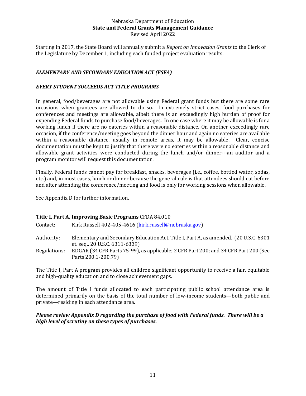Starting in 2017, the State Board will annually submit a *Report on Innovation Grants* to the Clerk of the Legislature by December 1, including each funded project evaluation results.

## <span id="page-10-0"></span>*ELEMENTARY AND SECONDARY EDUCATION ACT (ESEA)*

## <span id="page-10-1"></span>*EVERY STUDENT SUCCEEDS ACT TITLE PROGRAMS*

In general, food/beverages are not allowable using Federal grant funds but there are some rare occasions when grantees are allowed to do so. In extremely strict cases, food purchases for conferences and meetings are allowable, albeit there is an exceedingly high burden of proof for expending Federal funds to purchase food/beverages. In one case where it may be allowable is for a working lunch if there are no eateries within a reasonable distance. On another exceedingly rare occasion, if the conference/meeting goes beyond the dinner hour and again no eateries are available within a reasonable distance, usually in remote areas, it may be allowable. Clear, concise documentation must be kept to justify that there were no eateries within a reasonable distance and allowable grant activities were conducted during the lunch and/or dinner---an auditor and a program monitor will request this documentation.

Finally, Federal funds cannot pay for breakfast, snacks, beverages (i.e., coffee, bottled water, sodas, etc.) and, in most cases, lunch or dinner because the general rule is that attendees should eat before and after attending the conference/meeting and food is only for working sessions when allowable.

See Appendix D for further information.

#### <span id="page-10-2"></span>**Title I, Part A, Improving Basic Programs** CFDA 84.010

| Contact:     | Kirk Russell 402-405-4616 (kirk.russell@nebraska.gov)                                                                   |
|--------------|-------------------------------------------------------------------------------------------------------------------------|
| Authority:   | Elementary and Secondary Education Act, Title I, Part A, as amended. (20 U.S.C. 6301)<br>et. seq., 20 U.S.C. 6311-6339) |
| Regulations: | EDGAR (34 CFR Parts 75-99), as applicable; 2 CFR Part 200; and 34 CFR Part 200 (See<br>Parts 200.1-200.79)              |

The Title I, Part A program provides all children significant opportunity to receive a fair, equitable and high-quality education and to close achievement gaps.

The amount of Title I funds allocated to each participating public school attendance area is determined primarily on the basis of the total number of low-income students—both public and private—residing in each attendance area.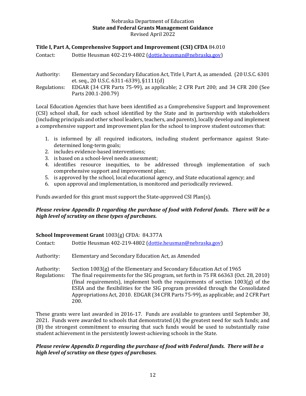## <span id="page-11-0"></span>**Title I, Part A, Comprehensive Support and Improvement (CSI) CFDA** 84.010

Contact: Dottie Heusman 402-219-4802 [\(dottie.heusman@nebraska.gov\)](mailto:dottie.heusman@nebraska.gov)

Authority: Elementary and Secondary Education Act, Title I, Part A, as amended. (20 U.S.C. 6301 et. seq., 20 U.S.C. 6311-6339), §1111(d)

Regulations: EDGAR (34 CFR Parts 75-99), as applicable; 2 CFR Part 200; and 34 CFR 200 (See Parts 200.1-200.79)

Local Education Agencies that have been identified as a Comprehensive Support and Improvement (CSI) school shall, for each school identified by the State and in partnership with stakeholders (including principals and other school leaders, teachers, and parents), locally develop and implement a comprehensive support and improvement plan for the school to improve student outcomes that:

- 1. is informed by all required indicators, including student performance against Statedetermined long-term goals;
- 2. includes evidence-based interventions;
- 3. is based on a school-level needs assessment;
- 4. identifies resource inequities, to be addressed through implementation of such comprehensive support and improvement plan;
- 5. is approved by the school, local educational agency, and State educational agency; and
- 6. upon approval and implementation, is monitored and periodically reviewed.

Funds awarded for this grant must support the State-approved CSI Plan(s).

## *Please review Appendix D regarding the purchase of food with Federal funds. There will be a high level of scrutiny on these types of purchases.*

#### <span id="page-11-1"></span>**School Improvement Grant** 1003(g) CFDA: 84.377A

| Contact:                   | Dottie Heusman 402-219-4802 (dottie.heusman@nebraska.gov)                                                                                                                                                                                                                                                                                                                                                                             |  |
|----------------------------|---------------------------------------------------------------------------------------------------------------------------------------------------------------------------------------------------------------------------------------------------------------------------------------------------------------------------------------------------------------------------------------------------------------------------------------|--|
| Authority:                 | Elementary and Secondary Education Act, as Amended                                                                                                                                                                                                                                                                                                                                                                                    |  |
| Authority:<br>Regulations: | Section 1003(g) of the Elementary and Secondary Education Act of 1965<br>The final requirements for the SIG program, set forth in 75 FR 66363 (Oct. 28, 2010)<br>(final requirements), implement both the requirements of section $1003(g)$ of the<br>ESEA and the flexibilities for the SIG program provided through the Consolidated<br>Appropriations Act, 2010. EDGAR (34 CFR Parts 75-99), as applicable; and 2 CFR Part<br>200. |  |

These grants were last awarded in 2016-17. Funds are available to grantees until September 30, 2021. Funds were awarded to schools that demonstrated (A) the greatest need for such funds; and (B) the strongest commitment to ensuring that such funds would be used to substantially raise student achievement in the persistently lowest-achieving schools in the State.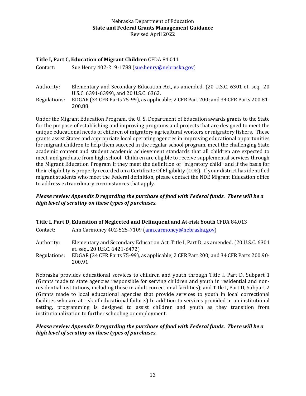## <span id="page-12-0"></span>**Title I, Part C, Education of Migrant Children** CFDA 84.011

Contact: Sue Henry 402-219-1788 [\(sue.henry@nebraska.gov\)](mailto:sue.henry@nebraska.gov)

Authority: Elementary and Secondary Education Act, as amended. (20 U.S.C. 6301 et. seq., 20 U.S.C. 6391-6399), and 20 U.S.C. 6362. Regulations: EDGAR (34 CFR Parts 75-99), as applicable; 2 CFR Part 200; and 34 CFR Parts 200.81- 200.88

Under the Migrant Education Program, the U. S. Department of Education awards grants to the State for the purpose of establishing and improving programs and projects that are designed to meet the unique educational needs of children of migratory agricultural workers or migratory fishers. These grants assist States and appropriate local operating agencies in improving educational opportunities for migrant children to help them succeed in the regular school program, meet the challenging State academic content and student academic achievement standards that all children are expected to meet, and graduate from high school. Children are eligible to receive supplemental services through the Migrant Education Program if they meet the definition of "migratory child" and if the basis for their eligibility is properly recorded on a Certificate Of Eligibility (COE). If your district has identified migrant students who meet the Federal definition, please contact the NDE Migrant Education office to address extraordinary circumstances that apply.

## *Please review Appendix D regarding the purchase of food with Federal funds. There will be a high level of scrutiny on these types of purchases.*

<span id="page-12-1"></span>

| Title I, Part D, Education of Neglected and Delinquent and At-risk Youth CFDA 84.013 |                                                                                                                         |  |
|--------------------------------------------------------------------------------------|-------------------------------------------------------------------------------------------------------------------------|--|
| Contact:                                                                             | Ann Carmoney 402-525-7109 (ann.carmoney@nebraska.gov)                                                                   |  |
| Authority:                                                                           | Elementary and Secondary Education Act, Title I, Part D, as amended. (20 U.S.C. 6301)<br>et. seq., 20 U.S.C. 6421-6472) |  |
| Regulations:                                                                         | EDGAR (34 CFR Parts 75-99), as applicable; 2 CFR Part 200; and 34 CFR Parts 200.90-<br>200.91                           |  |

Nebraska provides educational services to children and youth through Title I, Part D, Subpart 1 (Grants made to state agencies responsible for serving children and youth in residential and nonresidential institutions, including those in adult correctional facilities); and Title I, Part D, Subpart 2 (Grants made to local educational agencies that provide services to youth in local correctional facilities who are at risk of educational failure.) In addition to services provided in an institutional setting, programming is designed to assist children and youth as they transition from institutionalization to further schooling or employment.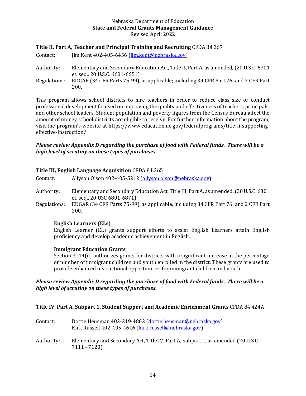## <span id="page-13-0"></span>**Title II, Part A, Teacher and Principal Training and Recruiting** CFDA 84.367

| Contact:     | $\lim$ Kent 402-405-6456 (jim.kent@nebraska.gov)                                                                         |
|--------------|--------------------------------------------------------------------------------------------------------------------------|
| Authority:   | Elementary and Secondary Education Act, Title II, Part A, as amended, (20 U.S.C. 6301)<br>et. seq., 20 U.S.C. 6601-6651) |
| Regulations: | EDGAR (34 CFR Parts 75-99), as applicable; including 34 CFR Part 76; and 2 CFR Part<br>200.                              |

This program allows school districts to hire teachers in order to reduce class size or conduct professional development focused on improving the quality and effectiveness of teachers, principals, and other school leaders. Student population and poverty figures from the Census Bureau affect the amount of money school districts are eligible to receive. For further information about the program, visit the program's website at https://www.education.ne.gov/federalprograms/title-ii-supportingeffective-instruction/

#### *Please review Appendix D regarding the purchase of food with Federal funds. There will be a high level of scrutiny on these types of purchases.*

#### <span id="page-13-1"></span>**Title III, English Language Acquisition** CFDA 84.365

| Contact:     | Allyson Olson 402-405-5212 (allyson.olson@nebraska.gov)                                                                |
|--------------|------------------------------------------------------------------------------------------------------------------------|
| Authority:   | Elementary and Secondary Education Act, Title III, Part A, as amended. (20 U.S.C. 6301)<br>et. seq., 20 USC 6801-6871) |
| Regulations: | EDGAR (34 CFR Parts 75-99), as applicable, including 34 CFR Part 76; and 2 CFR Part<br>200.                            |
|              |                                                                                                                        |

#### **English Learners (ELs)**

English Learner (EL) grants support efforts to assist English Learners attain English proficiency and develop academic achievement in English.

#### **Immigrant Education Grants**

Section 3114(d) authorizes grants for districts with a significant increase in the percentage or number of immigrant children and youth enrolled in the district. These grants are used to provide enhanced instructional opportunities for immigrant children and youth.

## *Please review Appendix D regarding the purchase of food with Federal funds. There will be a high level of scrutiny on these types of purchases.*

#### <span id="page-13-2"></span>**Title IV, Part A, Subpart 1, Student Support and Academic Enrichment Grants** CFDA 84.424A

| Contact:   | Dottie Heusman 402-219-4802 (dottie.heusman@nebraska.gov)<br>Kirk Russell 402-405-4616 (kirk.russell@nebraska.gov) |
|------------|--------------------------------------------------------------------------------------------------------------------|
| Authority: | Elementary and Secondary Act, Title IV, Part A, Subpart 1, as amended (20 U.S.C.<br>$7111 - 7120$                  |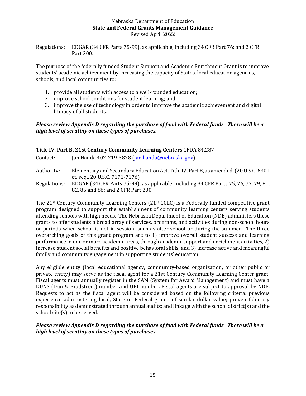Regulations: EDGAR (34 CFR Parts 75-99), as applicable, including 34 CFR Part 76; and 2 CFR Part 200.

The purpose of the federally funded Student Support and Academic Enrichment Grant is to improve students' academic achievement by increasing the capacity of States, local education agencies, schools, and local communities to:

- 1. provide all students with access to a well-rounded education;
- 2. improve school conditions for student learning; and
- 3. improve the use of technology in order to improve the academic achievement and digital literacy of all students.

## *Please review Appendix D regarding the purchase of food with Federal funds. There will be a high level of scrutiny on these types of purchases.*

## <span id="page-14-0"></span>**Title IV, Part B, 21st Century Community Learning Centers** CFDA 84.287

| Contact: | Jan Handa 402-219-3878 (jan.handa@nebraska.gov) |
|----------|-------------------------------------------------|
|          |                                                 |

- Authority: Elementary and Secondary Education Act, Title IV, Part B, as amended. (20 U.S.C. 6301 et. seq., 20 U.S.C. 7171-7176)
- Regulations: EDGAR (34 CFR Parts 75-99), as applicable, including 34 CFR Parts 75, 76, 77, 79, 81, 82, 85 and 86; and 2 CFR Part 200.

The  $21^{st}$  Century Community Learning Centers ( $21^{st}$  CCLC) is a Federally funded competitive grant program designed to support the establishment of community learning centers serving students attending schools with high needs. The Nebraska Department of Education (NDE) administers these grants to offer students a broad array of services, programs, and activities during non-school hours or periods when school is not in session, such as after school or during the summer. The three overarching goals of this grant program are to 1) improve overall student success and learning performance in one or more academic areas, through academic support and enrichment activities, 2) increase student social benefits and positive behavioral skills; and 3) increase active and meaningful family and community engagement in supporting students' education.

Any eligible entity (local educational agency, community-based organization, or other public or private entity) may serve as the fiscal agent for a 21st Century Community Learning Center grant. Fiscal agents must annually register in the SAM (System for Award Management) and must have a DUNS (Dun & Bradstreet) number and UEI number. Fiscal agents are subject to approval by NDE. Requests to act as the fiscal agent will be considered based on the following criteria: previous experience administering local, State or Federal grants of similar dollar value; proven fiduciary responsibility as demonstrated through annual audits; and linkage with the school district(s) and the school site(s) to be served.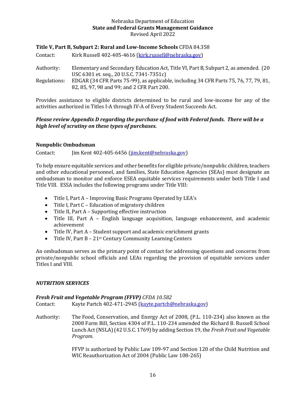## <span id="page-15-0"></span>**Title V, Part B, Subpart 2: Rural and Low-Income Schools** CFDA 84.358

| Contact:     | Kirk Russell 402-405-4616 (kirk.russell@nebraska.gov)                                                                               |
|--------------|-------------------------------------------------------------------------------------------------------------------------------------|
| Authority:   | Elementary and Secondary Education Act, Title VI, Part B, Subpart 2, as amended. (20)<br>USC 6301 et. seq., 20 U.S.C. 7341-7351c)   |
| Regulations: | EDGAR (34 CFR Parts 75-99), as applicable, including 34 CFR Parts 75, 76, 77, 79, 81,<br>82, 85, 97, 98 and 99; and 2 CFR Part 200. |

Provides assistance to eligible districts determined to be rural and low-income for any of the activities authorized in Titles I-A through IV-A of Every Student Succeeds Act.

## *Please review Appendix D regarding the purchase of food with Federal funds. There will be a high level of scrutiny on these types of purchases.*

## <span id="page-15-1"></span>**Nonpublic Ombudsman**

Contact: Jim Kent 402-405-6456 [\(jim.kent@nebraska.gov\)](mailto:jim.kent@nebraska.gov)

To help ensure equitable services and other benefits for eligible private/nonpublic children, teachers and other educational personnel, and families, State Education Agencies (SEAs) must designate an ombudsman to monitor and enforce ESEA equitable services requirements under both Title I and Title VIII. ESSA includes the following programs under Title VIII:

- Title I, Part A Improving Basic Programs Operated by LEA's
- Title I, Part C Education of migratory children
- Title II, Part A Supporting effective instruction
- Title III, Part A English language acquisition, language enhancement, and academic achievement
- Title IV, Part A Student support and academic enrichment grants
- Title IV, Part B 21<sup>st</sup> Century Community Learning Centers

An ombudsman serves as the primary point of contact for addressing questions and concerns from private/nonpublic school officials and LEAs regarding the provision of equitable services under Titles I and VIII.

#### <span id="page-15-2"></span>*NUTRITION SERVICES*

#### *Fresh Fruit and Vegetable Program (FFVP) CFDA 10.582*

|  | Contact: | Kayte Partch 402-471-2945 (kayte.partch@nebraska.gov) |
|--|----------|-------------------------------------------------------|
|--|----------|-------------------------------------------------------|

Authority: The Food, Conservation, and Energy Act of 2008, (P.L. 110-234) also known as the 2008 Farm Bill, Section 4304 of P.L. 110-234 amended the Richard B. Russell School Lunch Act (NSLA) (42 U.S.C. 1769) by adding Section 19, the *Fresh Fruit and Vegetable Program.*

> FFVP is authorized by Public Law 109-97 and Section 120 of the Child Nutrition and WIC Reauthorization Act of 2004 (Public Law 108-265)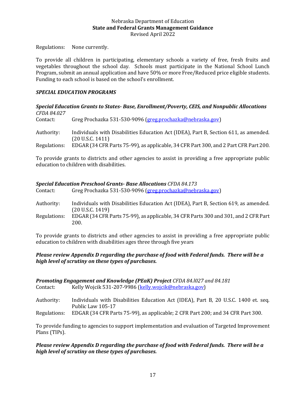Regulations: None currently.

To provide all children in participating, elementary schools a variety of free, fresh fruits and vegetables throughout the school day. Schools must participate in the National School Lunch Program, submit an annual application and have 50% or more Free/Reduced price eligible students. Funding to each school is based on the school's enrollment.

## <span id="page-16-0"></span>*SPECIAL EDUCATION PROGRAMS*

## *Special Education Grants to States- Base, Enrollment/Poverty, CEIS, and Nonpublic Allocations CFDA 84.027* Contact: Greg Prochazka 531-530-9096 [\(greg.prochazka@nebraska.gov\)](mailto:greg.prochazka@nebraska.gov) Authority: Individuals with Disabilities Education Act (IDEA), Part B, Section 611, as amended. (20 U.S.C. 1411)

Regulations: EDGAR (34 CFR Parts 75-99), as applicable, 34 CFR Part 300, and 2 Part CFR Part 200.

To provide grants to districts and other agencies to assist in providing a free appropriate public education to children with disabilities.

## *Special Education Preschool Grants- Base Allocations CFDA 84.173*

| Contact:     | Greg Prochazka 531-530-9096 (greg.prochazka@nebraska.gov)                                                |
|--------------|----------------------------------------------------------------------------------------------------------|
| Authority:   | Individuals with Disabilities Education Act (IDEA), Part B, Section 619, as amended.<br>(20 U.S.C. 1419) |
| Regulations: | EDGAR (34 CFR Parts 75-99), as applicable, 34 CFR Parts 300 and 301, and 2 CFR Part<br>200.              |

To provide grants to districts and other agencies to assist in providing a free appropriate public education to children with disabilities ages three through five years

## *Please review Appendix D regarding the purchase of food with Federal funds. There will be a high level of scrutiny on these types of purchases.*

| <b>Promoting Engagement and Knowledge (PEaK) Project CFDA 84.1027 and 84.181</b> |                                                                                                          |  |  |
|----------------------------------------------------------------------------------|----------------------------------------------------------------------------------------------------------|--|--|
| Contact:                                                                         | Kelly Wojcik 531-207-9986 (kelly.wojcik@nebraska.gov)                                                    |  |  |
| Authority:                                                                       | Individuals with Disabilities Education Act (IDEA), Part B, 20 U.S.C. 1400 et. seq.<br>Public Law 105-17 |  |  |
| Regulations:                                                                     | EDGAR (34 CFR Parts 75-99), as applicable; 2 CFR Part 200; and 34 CFR Part 300.                          |  |  |

To provide funding to agencies to support implementation and evaluation of Targeted Improvement Plans (TIPs).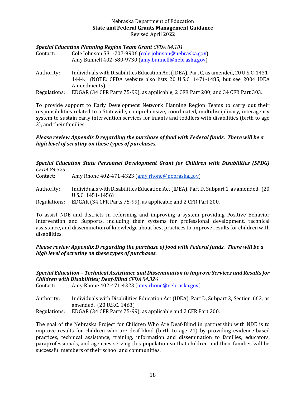## *Special Education Planning Region Team Grant CFDA 84.181*

| Contact: | Cole Johnson 531-207-9906 (cole.johnson@nebraska.gov) |
|----------|-------------------------------------------------------|
|          | Amy Bunnell 402-580-9730 (amy.bunnell@nebraska.gov)   |

Authority: Individuals with Disabilities Education Act (IDEA), Part C, as amended, 20 U.S.C. 1431- 1444. (NOTE: CFDA website also lists 20 U.S.C. 1471-1485, but see 2004 IDEA Amendments).

Regulations: EDGAR (34 CFR Parts 75-99), as applicable; 2 CFR Part 200; and 34 CFR Part 303.

To provide support to Early Development Network Planning Region Teams to carry out their responsibilities related to a Statewide, comprehensive, coordinated, multidisciplinary, interagency system to sustain early intervention services for infants and toddlers with disabilities (birth to age 3), and their families.

## *Please review Appendix D regarding the purchase of food with Federal funds. There will be a high level of scrutiny on these types of purchases.*

## *Special Education State Personnel Development Grant for Children with Disabilities (SPDG) CFDA 84.323* Contact: Amy Rhone 402-471-4323 [\(amy.rhone@nebraska.gov\)](mailto:anne.oath@nebraska.gov) Authority: Individuals with Disabilities Education Act (IDEA), Part D, Subpart 1, as amended. (20 U.S.C. 1451-1456)

Regulations: EDGAR (34 CFR Parts 75-99), as applicable and 2 CFR Part 200.

To assist NDE and districts in reforming and improving a system providing Positive Behavior Intervention and Supports, including their systems for professional development, technical assistance, and dissemination of knowledge about best practices to improve results for children with disabilities.

## *Please review Appendix D regarding the purchase of food with Federal funds. There will be a high level of scrutiny on these types of purchases.*

## *Special Education – Technical Assistance and Dissemination to Improve Services and Results for Children with Disabilities; Deaf-Blind CFDA 84.326*

| Contact:   | Amy Rhone 402-471-4323 (amy.rhone@nebraska.gov)                                        |  |  |  |
|------------|----------------------------------------------------------------------------------------|--|--|--|
| Authority: | Individuals with Disabilities Education Act (IDEA), Part D, Subpart 2, Section 663, as |  |  |  |

amended. (20 U.S.C. 1463)

Regulations: EDGAR (34 CFR Parts 75-99), as applicable and 2 CFR Part 200.

The goal of the Nebraska Project for Children Who Are Deaf-Blind in partnership with NDE is to improve results for children who are deaf-blind (birth to age 21) by providing evidence-based practices, technical assistance, training, information and dissemination to families, educators, paraprofessionals, and agencies serving this population so that children and their families will be successful members of their school and communities.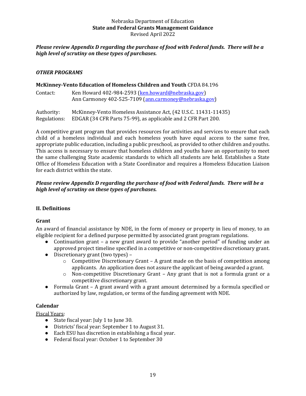## *Please review Appendix D regarding the purchase of food with Federal funds. There will be a high level of scrutiny on these types of purchases.*

## <span id="page-18-0"></span>*OTHER PROGRAMS*

## <span id="page-18-1"></span>**McKinney-Vento Education of Homeless Children and Youth** CFDA 84.196

| Contact: | Ken Howard 402-984-2593 (ken.howard@nebraska.gov)     |
|----------|-------------------------------------------------------|
|          | Ann Carmoney 402-525-7109 (ann.carmoney@nebraska.gov) |
|          |                                                       |

Authority: McKinney-Vento Homeless Assistance Act, (42 U.S.C. 11431-11435) Regulations: EDGAR (34 CFR Parts 75-99), as applicable and 2 CFR Part 200.

A competitive grant program that provides resources for activities and services to ensure that each child of a homeless individual and each homeless youth have equal access to the same free, appropriate public education, including a public preschool, as provided to other children and youths. This access is necessary to ensure that homeless children and youths have an opportunity to meet the same challenging State academic standards to which all students are held. Establishes a State Office of Homeless Education with a State Coordinator and requires a Homeless Education Liaison for each district within the state.

## *Please review Appendix D regarding the purchase of food with Federal funds. There will be a high level of scrutiny on these types of purchases.*

## <span id="page-18-2"></span>**II. Definitions**

## <span id="page-18-3"></span>**Grant**

An award of financial assistance by NDE, in the form of money or property in lieu of money, to an eligible recipient for a defined purpose permitted by associated grant program regulations.

- Continuation grant a new grant award to provide "another period" of funding under an approved project timeline specified in a competitive or non-competitive discretionary grant.
- Discretionary grant (two types)
	- o Competitive Discretionary Grant A grant made on the basis of competition among applicants. An application does not assure the applicant of being awarded a grant.
	- o Non-competitive Discretionary Grant Any grant that is not a formula grant or a competitive discretionary grant.
- Formula Grant A grant award with a grant amount determined by a formula specified or authorized by law, regulation, or terms of the funding agreement with NDE.

## <span id="page-18-4"></span>**Calendar**

Fiscal Years:

- State fiscal year: July 1 to June 30.
- Districts' fiscal year: September 1 to August 31.
- Each ESU has discretion in establishing a fiscal year.
- Federal fiscal year: October 1 to September 30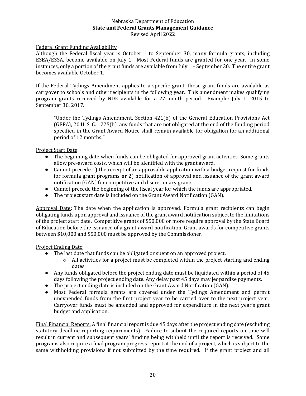## Federal Grant Funding Availability

Although the Federal fiscal year is October 1 to September 30, many formula grants, including ESEA/ESSA, become available on July 1. Most Federal funds are granted for one year. In some instances, only a portion of the grant funds are available from July 1 – September 30. The entire grant becomes available October 1.

If the Federal Tydings Amendment applies to a specific grant, those grant funds are available as carryover to schools and other recipients in the following year. This amendment makes qualifying program grants received by NDE available for a 27-month period. Example: July 1, 2015 to September 30, 2017.

"Under the Tydings Amendment, Section 421(b) of the General Education Provisions Act (GEPA), 20 U. S. C. 1225(b), any funds that are not obligated at the end of the funding period specified in the Grant Award Notice shall remain available for obligation for an additional period of 12 months."

Project Start Date:

- The beginning date when funds can be obligated for approved grant activities. Some grants allow pre-award costs, which will be identified with the grant award.
- Cannot precede 1) the receipt of an approvable application with a budget request for funds for formula grant programs **or** 2) notification of approval and issuance of the grant award notification (GAN) for competitive and discretionary grants.
- Cannot precede the beginning of the fiscal year for which the funds are appropriated.
- The project start date is included on the Grant Award Notification (GAN).

Approval Date: The date when the application is approved. Formula grant recipients can begin obligating funds upon approval and issuance of the grant award notification subject to the limitations of the project start date. Competitive grants of \$50,000 or more require approval by the State Board of Education before the issuance of a grant award notification. Grant awards for competitive grants between \$10,000 and \$50,000 must be approved by the Commissioner**.** 

#### Project Ending Date:

- The last date that funds can be obligated or spent on an approved project.
	- $\circ$  All activities for a project must be completed within the project starting and ending dates.
- Any funds obligated before the project ending date must be liquidated within a period of 45 days following the project ending date. Any delay past 45 days may jeopardize payments.
- The project ending date is included on the Grant Award Notification (GAN).
- Most Federal formula grants are covered under the Tydings Amendment and permit unexpended funds from the first project year to be carried over to the next project year. Carryover funds must be amended and approved for expenditure in the next year's grant budget and application.

Final Financial Reports: A final financial report is due 45 days after the project ending date (excluding statutory deadline reporting requirements). Failure to submit the required reports on time will result in current and subsequent years' funding being withheld until the report is received. Some programs also require a final program progress report at the end of a project, which is subject to the same withholding provisions if not submitted by the time required. If the grant project and all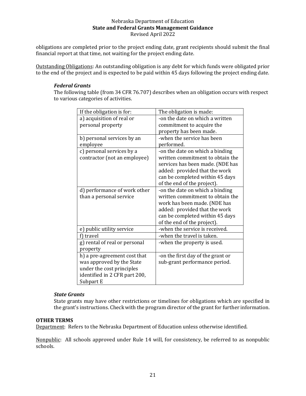obligations are completed prior to the project ending date, grant recipients should submit the final financial report at that time, not waiting for the project ending date.

Outstanding Obligations: An outstanding obligation is any debt for which funds were obligated prior to the end of the project and is expected to be paid within 45 days following the project ending date.

## *Federal Grants*

The following table (from 34 CFR 76.707) describes when an obligation occurs with respect to various categories of activities.

| If the obligation is for:     | The obligation is made:           |
|-------------------------------|-----------------------------------|
| a) acquisition of real or     | -on the date on which a written   |
| personal property             | commitment to acquire the         |
|                               | property has been made.           |
| b) personal services by an    | -when the service has been        |
| employee                      | performed.                        |
| c) personal services by a     | -on the date on which a binding   |
| contractor (not an employee)  | written commitment to obtain the  |
|                               | services has been made. (NDE has  |
|                               | added: provided that the work     |
|                               | can be completed within 45 days   |
|                               | of the end of the project).       |
| d) performance of work other  | -on the date on which a binding   |
| than a personal service       | written commitment to obtain the  |
|                               | work has been made. (NDE has      |
|                               | added: provided that the work     |
|                               | can be completed within 45 days   |
|                               | of the end of the project).       |
| e) public utility service     | -when the service is received.    |
| f) travel                     | -when the travel is taken.        |
| g) rental of real or personal | -when the property is used.       |
| property                      |                                   |
| h) a pre-agreement cost that  | -on the first day of the grant or |
| was approved by the State     | sub-grant performance period.     |
| under the cost principles     |                                   |
| identified in 2 CFR part 200, |                                   |
| Subpart E                     |                                   |

## *State Grants*

State grants may have other restrictions or timelines for obligations which are specified in the grant's instructions. Check with the program director of the grant for further information.

#### **OTHER TERMS**

Department: Refers to the Nebraska Department of Education unless otherwise identified.

Nonpublic: All schools approved under Rule 14 will, for consistency, be referred to as nonpublic schools.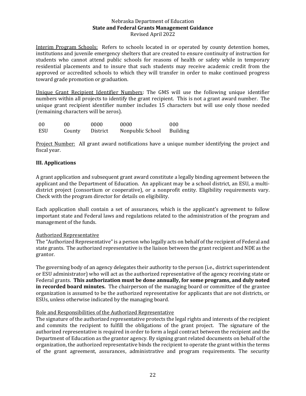Interim Program Schools: Refers to schools located in or operated by county detention homes, institutions and juvenile emergency shelters that are created to ensure continuity of instruction for students who cannot attend public schools for reasons of health or safety while in temporary residential placements and to insure that such students may receive academic credit from the approved or accredited schools to which they will transfer in order to make continued progress toward grade promotion or graduation.

Unique Grant Recipient Identifier Numbers: The GMS will use the following unique identifier numbers within all projects to identify the grant recipient. This is not a grant award number. The unique grant recipient identifier number includes 15 characters but will use only those needed (remaining characters will be zeros).

| -00 | 00     | 0000     | 0000             | 000             |
|-----|--------|----------|------------------|-----------------|
| ESU | County | District | Nonpublic School | <b>Building</b> |

Project Number: All grant award notifications have a unique number identifying the project and fiscal year.

## <span id="page-21-0"></span>**III. Applications**

A grant application and subsequent grant award constitute a legally binding agreement between the applicant and the Department of Education. An applicant may be a school district, an ESU, a multidistrict project (consortium or cooperative), or a nonprofit entity. Eligibility requirements vary. Check with the program director for details on eligibility.

Each application shall contain a set of assurances, which is the applicant's agreement to follow important state and Federal laws and regulations related to the administration of the program and management of the funds.

## Authorized Representative

The "Authorized Representative" is a person who legally acts on behalf of the recipient of Federal and state grants. The authorized representative is the liaison between the grant recipient and NDE as the grantor.

The governing body of an agency delegates their authority to the person (i.e., district superintendent or ESU administrator) who will act as the authorized representative of the agency receiving state or Federal grants. **This authorization must be done annually, for some programs, and duly noted in recorded board minutes.** The chairperson of the managing board or committee of the grantee organization is assumed to be the authorized representative for applicants that are not districts, or ESUs, unless otherwise indicated by the managing board.

## Role and Responsibilities of the Authorized Representative

The signature of the authorized representative protects the legal rights and interests of the recipient and commits the recipient to fulfill the obligations of the grant project. The signature of the authorized representative is required in order to form a legal contract between the recipient and the Department of Education as the grantor agency. By signing grant related documents on behalf of the organization, the authorized representative binds the recipient to operate the grant within the terms of the grant agreement, assurances, administrative and program requirements. The security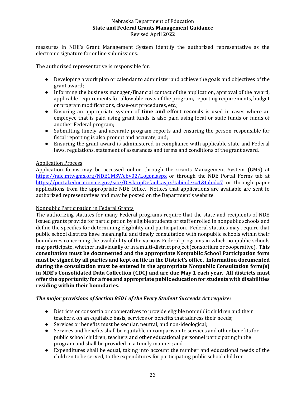measures in NDE's Grant Management System identify the authorized representative as the electronic signature for online submissions.

The authorized representative is responsible for:

- Developing a work plan or calendar to administer and achieve the goals and objectives of the grant award;
- Informing the business manager/financial contact of the application, approval of the award, applicable requirements for allowable costs of the program, reporting requirements, budget or program modifications, close-out procedures, etc.;
- Ensuring an appropriate system of **time and effort records** is used in cases where an employee that is paid using grant funds is also paid using local or state funds or funds of another Federal program;
- Submitting timely and accurate program reports and ensuring the person responsible for fiscal reporting is also prompt and accurate, and;
- Ensuring the grant award is administered in compliance with applicable state and Federal laws, regulations, statement of assurances and terms and conditions of the grant award.

## Application Process

Application forms may be accessed online through the Grants Management System (GMS) at <https://nde.mtwgms.org/NDEGMSWebv02/Logon.aspx> or through the NDE Portal Forms tab at <https://portal.education.ne.gov/site/DesktopDefault.aspx?tabindex=1&tabid=7> or through paper applications from the appropriate NDE Office. Notices that applications are available are sent to authorized representatives and may be posted on the Department's website.

## Nonpublic Participation in Federal Grants

The authorizing statutes for many Federal programs require that the state and recipients of NDE issued grants provide for participation by eligible students or staff enrolled in nonpublic schools and define the specifics for determining eligibility and participation. Federal statutes may require that public school districts have meaningful and timely consultation with nonpublic schools within their boundaries concerning the availability of the various Federal programs in which nonpublic schools may participate, whether individually or in a multi-district project (consortium or cooperative). **This consultation must be documented and the appropriate Nonpublic School Participation form must be signed by all parties and kept on file in the District's office. Information documented during the consultation must be entered in the appropriate Nonpublic Consultation form(s) in NDE's Consolidated Data Collection (CDC) and are due May 1 each year. All districts must offer the opportunity for a free and appropriate public education for students with disabilities residing within their boundaries.** 

## *The major provisions of Section 8501 of the Every Student Succeeds Act require:*

- Districts or consortia or cooperatives to provide eligible nonpublic children and their teachers, on an equitable basis, services or benefits that address their needs;
- Services or benefits must be secular, neutral, and non-ideological;
- Services and benefits shall be equitable in comparison to services and other benefits for public school children, teachers and other educational personnel participating in the program and shall be provided in a timely manner; and
- Expenditures shall be equal, taking into account the number and educational needs of the children to be served, to the expenditures for participating public school children.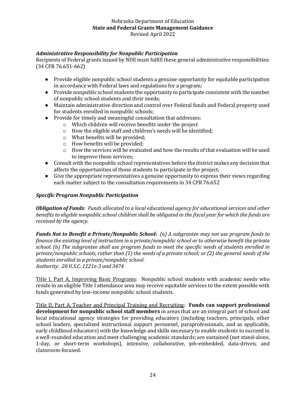## *Administrative Responsibility for Nonpublic Participation*

Recipients of Federal grants issued by NDE must fulfill these general administrative responsibilities: (34 CFR 76.651-662)

- Provide eligible nonpublic school students a genuine opportunity for equitable participation in accordance with Federal laws and regulations for a program;
- Provide nonpublic school students the opportunity to participate consistent with the number of nonpublic school students and their needs;
- Maintain administrative direction and control over Federal funds and Federal property used for students enrolled in nonpublic schools;
- Provide for timely and meaningful consultation that addresses:
	- o Which children will receive benefits under the project
	- o How the eligible staff and children's needs will be identified;
	- o What benefits will be provided;
	- o How benefits will be provided;
	- $\circ$  How the services will be evaluated and how the results of that evaluation will be used to improve those services;
- Consult with the nonpublic school representatives before the district makes any decision that affects the opportunities of those students to participate in the project;
- Give the appropriate representatives a genuine opportunity to express their views regarding each matter subject to the consultation requirements in 34 CFR 76.652

## *Specific Program Nonpublic Participation*

*Obligation of Funds: Funds allocated to a local educational agency for educational services and other benefits to eligible nonpublic school children shall be obligated in the fiscal year for which the funds are received by the agency.*

*Funds Not to Benefit a Private/Nonpublic School: (a) A subgrantee may not use program funds to finance the existing level of instruction in a private/nonpublic school or to otherwise benefit the private school. (b) The subgrantee shall use program funds to meet the specific needs of students enrolled in private/nonpublic schools, rather than (1) the needs of a private school; or (2) the general needs of the students enrolled in a private/nonpublic school. Authority: 20 U.S.C. 1221e-3 and 3474*

Title I, Part A, Improving Basic Programs: Nonpublic school students with academic needs who reside in an eligible Title I attendance area may receive equitable services to the extent possible with funds generated by low-income nonpublic school students.

Title II, Part A, Teacher and Principal Training and Recruiting: **Funds can support professional development for nonpublic school staff members** in areas that are an integral part of school and local educational agency strategies for providing educators (including teachers, principals, other school leaders, specialized instructional support personnel, paraprofessionals, and as applicable, early childhood educators) with the knowledge and skills necessary to enable students to succeed in a well-rounded education and meet challenging academic standards; are sustained (not stand-alone, 1-day, or short-term workshops), intensive, collaborative, job-embedded, data-driven, and classroom-focused.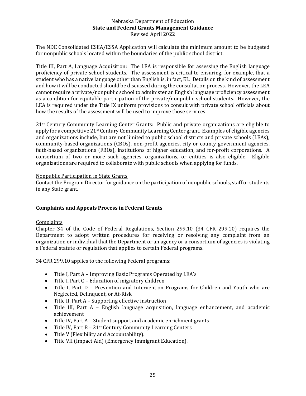The NDE Consolidated ESEA/ESSA Application will calculate the minimum amount to be budgeted for nonpublic schools located within the boundaries of the public school district.

Title III, Part A, Language Acquisition: The LEA is responsible for assessing the English language proficiency of private school students. The assessment is critical to ensuring, for example, that a student who has a native language other than English is, in fact, EL. Details on the kind of assessment and how it will be conducted should be discussed during the consultation process. However, the LEA cannot require a private/nonpublic school to administer an English language proficiency assessment as a condition for equitable participation of the private/nonpublic school students. However, the LEA is required under the Title IX uniform provisions to consult with private school officials about how the results of the assessment will be used to improve those services

21st Century Community Learning Center Grants: Public and private organizations are eligible to apply for a competitive 21st Century Community Learning Center grant. Examples of eligible agencies and organizations include, but are not limited to public school districts and private schools (LEAs), community-based organizations (CBOs), non-profit agencies, city or county government agencies, faith-based organizations (FBOs), institutions of higher education, and for-profit corporations. A consortium of two or more such agencies, organizations, or entities is also eligible. Eligible organizations are required to collaborate with public schools when applying for funds.

## Nonpublic Participation in State Grants

Contact the Program Director for guidance on the participation of nonpublic schools, staff or students in any State grant.

## <span id="page-24-0"></span>**Complaints and Appeals Process in Federal Grants**

## **Complaints**

Chapter 34 of the Code of Federal Regulations, Section 299.10 (34 CFR 299.10) requires the Department to adopt written procedures for receiving or resolving any complaint from an organization or individual that the Department or an agency or a consortium of agencies is violating a Federal statute or regulation that applies to certain Federal programs.

34 CFR 299.10 applies to the following Federal programs:

- Title I, Part A Improving Basic Programs Operated by LEA's
- Title I, Part C Education of migratory children
- Title I, Part D Prevention and Intervention Programs for Children and Youth who are Neglected, Delinquent, or At-Risk
- Title II, Part A Supporting effective instruction
- Title III, Part A English language acquisition, language enhancement, and academic achievement
- Title IV, Part A Student support and academic enrichment grants
- Title IV, Part  $B 21$ <sup>st</sup> Century Community Learning Centers
- Title V (Flexibility and Accountability).
- Title VII (Impact Aid) (Emergency Immigrant Education).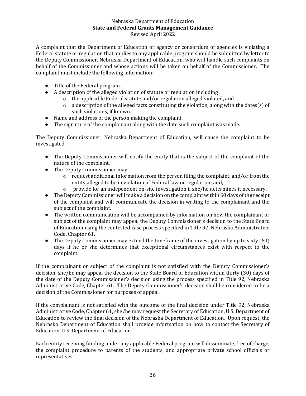A complaint that the Department of Education or agency or consortium of agencies is violating a Federal statute or regulation that applies to any applicable program should be submitted by letter to the Deputy Commissioner, Nebraska Department of Education, who will handle such complaints on behalf of the Commissioner and whose actions will be taken on behalf of the Commissioner. The complaint must include the following information:

- Title of the Federal program.
- A description of the alleged violation of statute or regulation including
	- o the applicable Federal statute and/or regulation alleged violated, and
	- $\circ$  a description of the alleged facts constituting the violation, along with the dates(s) of such violations, if known.
- Name and address of the person making the complaint.
- The signature of the complainant along with the date such complaint was made.

The Deputy Commissioner, Nebraska Department of Education, will cause the complaint to be investigated.

- The Deputy Commissioner will notify the entity that is the subject of the complaint of the nature of the complaint.
- The Deputy Commissioner may
	- o request additional information from the person filing the complaint, and/or from the entity alleged to be in violation of Federal law or regulation; and,
	- $\circ$  provide for an independent on-site investigation if she/he determines it necessary.
- The Deputy Commissioner will make a decision on the complaint within 60 days of the receipt of the complaint and will communicate the decision in writing to the complainant and the subject of the complaint.
- The written communication will be accompanied by information on how the complainant or subject of the complaint may appeal the Deputy Commissioner's decision to the State Board of Education using the contested case process specified in Title 92, Nebraska Administrative Code, Chapter 61.
- The Deputy Commissioner may extend the timeframe of the investigation by up to sixty (60) days if he or she determines that exceptional circumstances exist with respect to the complaint.

If the complainant or subject of the complaint is not satisfied with the Deputy Commissioner's decision, she/he may appeal the decision to the State Board of Education within thirty (30) days of the date of the Deputy Commissioner's decision using the process specified in Title 92, Nebraska Administrative Code, Chapter 61. The Deputy Commissioner's decision shall be considered to be a decision of the Commissioner for purposes of appeal.

If the complainant is not satisfied with the outcome of the final decision under Title 92, Nebraska Administrative Code, Chapter 61, she/he may request the Secretary of Education, U.S. Department of Education to review the final decision of the Nebraska Department of Education. Upon request, the Nebraska Department of Education shall provide information on how to contact the Secretary of Education, U.S. Department of Education.

Each entity receiving funding under any applicable Federal program will disseminate, free of charge, the complaint procedure to parents of the students, and appropriate private school officials or representatives.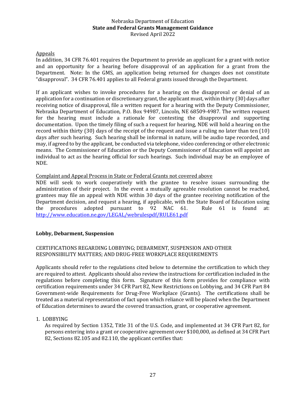## Appeals

In addition, 34 CFR 76.401 requires the Department to provide an applicant for a grant with notice and an opportunity for a hearing before disapproval of an application for a grant from the Department. Note: In the GMS, an application being returned for changes does not constitute "disapproval". 34 CFR 76.401 applies to all Federal grants issued through the Department.

If an applicant wishes to invoke procedures for a hearing on the disapproval or denial of an application for a continuation or discretionary grant, the applicant must, within thirty (30) days after receiving notice of disapproval, file a written request for a hearing with the Deputy Commissioner, Nebraska Department of Education, P.O. Box 94987, Lincoln, NE 68509-4987. The written request for the hearing must include a rationale for contesting the disapproval and supporting documentation. Upon the timely filing of such a request for hearing, NDE will hold a hearing on the record within thirty (30) days of the receipt of the request and issue a ruling no later than ten (10) days after such hearing. Such hearing shall be informal in nature, will be audio tape recorded, and may, if agreed to by the applicant, be conducted via telephone, video conferencing or other electronic means. The Commissioner of Education or the Deputy Commissioner of Education will appoint an individual to act as the hearing official for such hearings. Such individual may be an employee of NDE.

## Complaint and Appeal Process in State or Federal Grants not covered above

NDE will seek to work cooperatively with the grantee to resolve issues surrounding the administration of their project. In the event a mutually agreeable resolution cannot be reached, grantees may file an appeal with NDE within 30 days of the grantee receiving notification of the Department decision, and request a hearing, if applicable, with the State Board of Education using the procedures adopted pursuant to 92 NAC 61. Rule 61 is found at: <http://www.education.ne.gov/LEGAL/webrulespdf/RULE61.pdf>

#### <span id="page-26-0"></span>**Lobby, Debarment, Suspension**

## CERTIFICATIONS REGARDING LOBBYING; DEBARMENT, SUSPENSION AND OTHER RESPONSIBILITY MATTERS; AND DRUG-FREE WORKPLACE REQUIREMENTS

Applicants should refer to the regulations cited below to determine the certification to which they are required to attest. Applicants should also review the instructions for certification included in the regulations before completing this form. Signature of this form provides for compliance with certification requirements under 34 CFR Part 82, New Restrictions on Lobbying, and 34 CFR Part 84 Government-wide Requirements for Drug-Free Workplace (Grants). The certifications shall be treated as a material representation of fact upon which reliance will be placed when the Department of Education determines to award the covered transaction, grant, or cooperative agreement.

#### 1. LOBBYING

As required by Section 1352, Title 31 of the U.S. Code, and implemented at 34 CFR Part 82, for persons entering into a grant or cooperative agreement over \$100,000, as defined at 34 CFR Part 82, Sections 82.105 and 82.110, the applicant certifies that: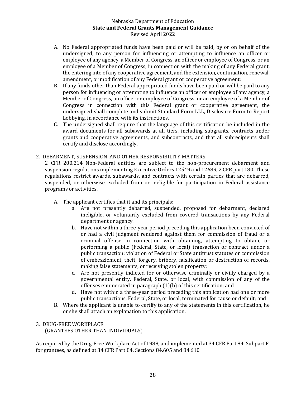- A. No Federal appropriated funds have been paid or will be paid, by or on behalf of the undersigned, to any person for influencing or attempting to influence an officer or employee of any agency, a Member of Congress, an officer or employee of Congress, or an employee of a Member of Congress, in connection with the making of any Federal grant, the entering into of any cooperative agreement, and the extension, continuation, renewal, amendment, or modification of any Federal grant or cooperative agreement;
- B. If any funds other than Federal appropriated funds have been paid or will be paid to any person for influencing or attempting to influence an officer or employee of any agency, a Member of Congress, an officer or employee of Congress, or an employee of a Member of Congress in connection with this Federal grant or cooperative agreement, the undersigned shall complete and submit Standard Form LLL, Disclosure Form to Report Lobbying, in accordance with its instructions.
- C. The undersigned shall require that the language of this certification be included in the award documents for all subawards at all tiers, including subgrants, contracts under grants and cooperative agreements, and subcontracts, and that all subrecipients shall certify and disclose accordingly.

## 2. DEBARMENT, SUSPENSION, AND OTHER RESPONSIBILITY MATTERS

2 CFR 200.214 Non-Federal entities are subject to the non-procurement debarment and suspension regulations implementing Executive Orders 12549 and 12689, 2 CFR part 180. These regulations restrict awards, subawards, and contracts with certain parties that are debarred, suspended, or otherwise excluded from or ineligible for participation in Federal assistance programs or activities.

- A. The applicant certifies that it and its principals:
	- a. Are not presently debarred, suspended, proposed for debarment, declared ineligible, or voluntarily excluded from covered transactions by any Federal department or agency.
	- b. Have not within a three-year period preceding this application been convicted of or had a civil judgment rendered against them for commission of fraud or a criminal offense in connection with obtaining, attempting to obtain, or performing a public (Federal, State, or local) transaction or contract under a public transaction; violation of Federal or State antitrust statutes or commission of embezzlement, theft, forgery, bribery, falsification or destruction of records, making false statements, or receiving stolen property;
	- c. Are not presently indicted for or otherwise criminally or civilly charged by a governmental entity, Federal, State, or local, with commission of any of the offenses enumerated in paragraph (1)(b) of this certification; and
	- d. Have not within a three-year period preceding this application had one or more public transactions, Federal, State, or local, terminated for cause or default; and
- B. Where the applicant is unable to certify to any of the statements in this certification, he or she shall attach an explanation to this application.

## 3. DRUG-FREE WORKPLACE

(GRANTEES OTHER THAN INDIVIDUALS)

As required by the Drug-Free Workplace Act of 1988, and implemented at 34 CFR Part 84, Subpart F, for grantees, as defined at 34 CFR Part 84, Sections 84.605 and 84.610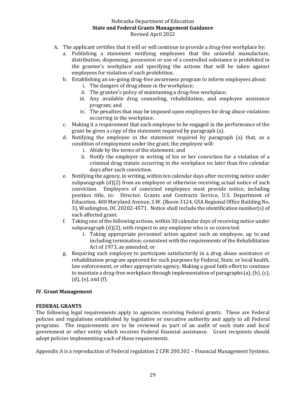- A. The applicant certifies that it will or will continue to provide a drug-free workplace by:
	- a. Publishing a statement notifying employees that the unlawful manufacture, distribution, dispensing, possession or use of a controlled substance is prohibited in the grantee's workplace and specifying the actions that will be taken against employees for violation of such prohibition.
	- b. Establishing an on-going drug-free awareness program to inform employees about:
		- i. The dangers of drug abuse in the workplace;
		- ii. The grantee's policy of maintaining a drug-free workplace;
		- iii. Any available drug counseling, rehabilitation, and employee assistance program; and
		- iv. The penalties that may be imposed upon employees for drug abuse violations occurring in the workplace.
	- c. Making it a requirement that each employee to be engaged in the performance of the grant be given a copy of the statement required by paragraph (a).
	- d. Notifying the employee in the statement required by paragraph (a) that, as a condition of employment under the grant, the employee will:
		- i. Abide by the terms of the statement; and
		- ii. Notify the employer in writing of his or her conviction for a violation of a criminal drug statute occurring in the workplace no later than five calendar days after such conviction.
	- e. Notifying the agency, in writing, within ten calendar days after receiving notice under subparagraph (d)(2) from an employee or otherwise receiving actual notice of such conviction. Employers of convicted employees must provide notice, including position title, to: Director, Grants and Contracts Service, U.S. Department of Education, 400 Maryland Avenue, S.W. (Room 3124, GSA Regional Office Building No. 3), Washington, DC 20202-4571. Notice shall include the identification number(s) of each affected grant.
	- f. Taking one of the following actions, within 30 calendar days of receiving notice under subparagraph (d)(2), with respect to any employee who is so convicted:
		- i. Taking appropriate personnel action against such an employee, up to and including termination; consistent with the requirements of the Rehabilitation Act of 1973, as amended; or
	- g. Requiring such employee to participate satisfactorily in a drug abuse assistance or rehabilitation program approved for such purposes by Federal, State, or local health, law enforcement, or other appropriate agency. Making a good faith effort to continue to maintain a drug-free workplace through implementation of paragraphs (a), (b), (c), (d), (e), and (f).

#### <span id="page-28-0"></span>**IV. Grant Management**

#### **FEDERAL GRANTS**

The following legal requirements apply to agencies receiving Federal grants. These are Federal policies and regulations established by legislative or executive authority and apply to all Federal programs. The requirements are to be reviewed as part of an audit of each state and local government or other entity which receives Federal financial assistance. Grant recipients should adopt policies implementing each of these requirements.

Appendix A is a reproduction of Federal regulation 2 CFR 200.302 – Financial Management Systems.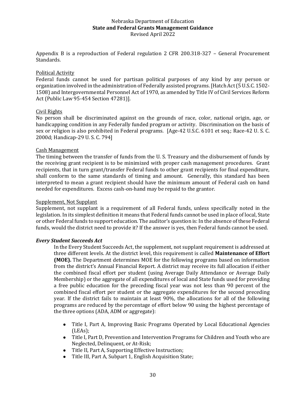Appendix B is a reproduction of Federal regulation 2 CFR 200.318-327 – General Procurement Standards.

## Political Activity

Federal funds cannot be used for partisan political purposes of any kind by any person or organization involved in the administration of Federally assisted programs. [Hatch Act (5 U.S.C. 1502- 1508) and Intergovernmental Personnel Act of 1970, as amended by Title IV of Civil Services Reform Act (Public Law 95-454 Section 47281)].

#### Civil Rights

No person shall be discriminated against on the grounds of race, color, national origin, age, or handicapping condition in any Federally funded program or activity. Discrimination on the basis of sex or religion is also prohibited in Federal programs. [Age-42 U.S.C. 6101 et seq.; Race-42 U. S. C. 2000d; Handicap-29 U. S. C. 794]

## Cash Management

The timing between the transfer of funds from the U. S. Treasury and the disbursement of funds by the receiving grant recipient is to be minimized with proper cash management procedures. Grant recipients, that in turn grant/transfer Federal funds to other grant recipients for final expenditure, shall conform to the same standards of timing and amount. Generally, this standard has been interpreted to mean a grant recipient should have the minimum amount of Federal cash on hand needed for expenditures. Excess cash-on-hand may be repaid to the grantor.

#### Supplement, Not Supplant

Supplement, not supplant is a requirement of all Federal funds, unless specifically noted in the legislation. In its simplest definition it means that Federal funds cannot be used in place of local, State or other Federal funds to support education. The auditor's question is: In the absence of these Federal funds, would the district need to provide it? If the answer is yes, then Federal funds cannot be used.

#### *Every Student Succeeds Act*

In the Every Student Succeeds Act, the supplement, not supplant requirement is addressed at three different levels. At the district level, this requirement is called **Maintenance of Effort (MOE).** The Department determines MOE for the following programs based on information from the district's Annual Financial Report. A district may receive its full allocation if either the combined fiscal effort per student (using Average Daily Attendance or Average Daily Membership) or the aggregate of all expenditures of local and State funds used for providing a free public education for the preceding fiscal year was not less than 90 percent of the combined fiscal effort per student or the aggregate expenditures for the second preceding year. If the district fails to maintain at least 90%, the allocations for all of the following programs are reduced by the percentage of effort below 90 using the highest percentage of the three options (ADA, ADM or aggregate):

- Title I, Part A, Improving Basic Programs Operated by Local Educational Agencies (LEAs);
- Title I, Part D, Prevention and Intervention Programs for Children and Youth who are Neglected, Delinquent, or At-Risk;
- Title II, Part A, Supporting Effective Instruction;
- Title III, Part A, Subpart 1, English Acquisition State;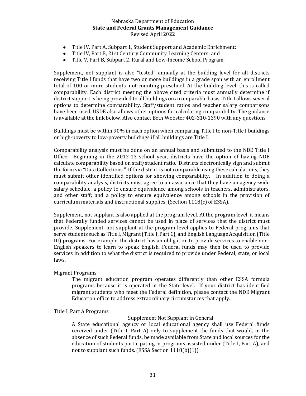- Title IV, Part A, Subpart 1, Student Support and Academic Enrichment;
- Title IV, Part B, 21st Century Community Learning Centers; and
- Title V, Part B, Subpart 2, Rural and Low-Income School Program.

Supplement, not supplant is also "tested" annually at the building level for all districts receiving Title I funds that have two or more buildings in a grade span with an enrollment total of 100 or more students, not counting preschool. At the building level, this is called comparability. Each district meeting the above cited criteria must annually determine if district support is being provided to all buildings on a comparable basis. Title I allows several options to determine comparability. Staff/student ratios and teacher salary comparisons have been used. USDE also allows other options for calculating comparability. The guidance is available at the link below. Also contact Beth Wooster 402-310-1390 with any questions.

Buildings must be within 90% in each option when comparing Title I to non-Title I buildings or high-poverty to low-poverty buildings if all buildings are Title I.

Comparability analysis must be done on an annual basis and submitted to the NDE Title I Office. Beginning in the 2012-13 school year, districts have the option of having NDE calculate comparability based on staff/student ratio. Districts electronically sign and submit the form via "Data Collections." If the district is not comparable using these calculations, they must submit other identified options for showing comparability. In addition to doing a comparability analysis, districts must agree to an assurance that they have an agency-wide salary schedule, a policy to ensure equivalence among schools in teachers, administrators, and other staff; and a policy to ensure equivalence among schools in the provision of curriculum materials and instructional supplies. (Section 1118(c) of ESSA).

Supplement, not supplant is also applied at the program level. At the program level, it means that Federally funded services cannot be used in place of services that the district must provide. Supplement, not supplant at the program level applies to Federal programs that serve students such as Title I, Migrant (Title I, Part C), and English Language Acquisition (Title III) programs. For example, the district has an obligation to provide services to enable non-English speakers to learn to speak English. Federal funds may then be used to provide services in addition to what the district is required to provide under Federal, state, or local laws.

#### Migrant Programs

The migrant education program operates differently than other ESSA formula programs because it is operated at the State level. If your district has identified migrant students who meet the Federal definition, please contact the NDE Migrant Education office to address extraordinary circumstances that apply.

#### Title I, Part A Programs

#### Supplement Not Supplant in General

A State educational agency or local educational agency shall use Federal funds received under (Title I, Part A) only to supplement the funds that would, in the absence of such Federal funds, be made available from State and local sources for the education of students participating in programs assisted under (Title I, Part A), and not to supplant such funds. (ESSA Section 1118(b)(1))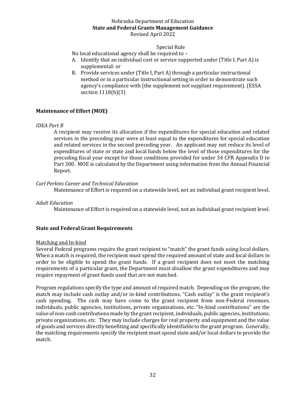#### Special Rule

No local educational agency shall be required to –

- A. Identify that an individual cost or service supported under (Title I, Part A) is supplemental: or
- B. Provide services under (Title I, Part A) through a particular instructional method or in a particular instructional setting in order to demonstrate such agency's compliance with (the supplement not supplant requirement). (ESSA section 1118(b)(3)

## <span id="page-31-0"></span>**Maintenance of Effort (MOE)**

#### *IDEA Part B*

A recipient may receive its allocation if the expenditures for special education and related services in the preceding year were at least equal to the expenditures for special education and related services in the second preceding year. An applicant may not reduce its level of expenditures of state or state and local funds below the level of those expenditures for the preceding fiscal year except for those conditions provided for under 34 CFR Appendix D to Part 300. MOE is calculated by the Department using information from the Annual Financial Report.

#### *Carl Perkins Career and Technical Education*

Maintenance of Effort is required on a statewide level, not an individual grant recipient level.

#### *Adult Education*

Maintenance of Effort is required on a statewide level, not an individual grant recipient level.

#### <span id="page-31-1"></span>**State and Federal Grant Requirements**

#### Matching and In-kind

Several Federal programs require the grant recipient to "match" the grant funds using local dollars. When a match is required, the recipient must spend the required amount of state and local dollars in order to be eligible to spend the grant funds. If a grant recipient does not meet the matching requirements of a particular grant, the Department must disallow the grant expenditures and may require repayment of grant funds used that are not matched.

Program regulations specify the type and amount of required match. Depending on the program, the match may include cash outlay and/or in-kind contributions. "Cash outlay" is the grant recipient's cash spending. The cash may have come to the grant recipient from non-Federal revenues, individuals, public agencies, institutions, private organizations, etc. "In-kind contributions" are the value of non-cash contributions made by the grant recipient, individuals, public agencies, institutions, private organizations, etc. They may include charges for real property and equipment and the value of goods and services directly benefiting and specifically identifiable to the grant program. Generally, the matching requirements specify the recipient must spend state and/or local dollars to provide the match.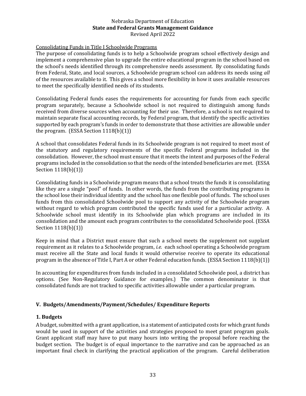## Consolidating Funds in Title I Schoolwide Programs

The purpose of consolidating funds is to help a Schoolwide program school effectively design and implement a comprehensive plan to upgrade the entire educational program in the school based on the school's needs identified through its comprehensive needs assessment. By consolidating funds from Federal, State, and local sources, a Schoolwide program school can address its needs using *all*  of the resources available to it. This gives a school more flexibility in how it uses available resources to meet the specifically identified needs of its students.

Consolidating Federal funds eases the requirements for accounting for funds from each specific program separately, because a Schoolwide school is not required to distinguish among funds received from diverse sources when accounting for their use. Therefore, a school is not required to maintain separate fiscal accounting records, by Federal program, that identify the specific activities supported by each program's funds in order to demonstrate that those activities are allowable under the program. (ESSA Section 1118(b)(1))

A school that consolidates Federal funds in its Schoolwide program is not required to meet most of the statutory and regulatory requirements of the specific Federal programs included in the consolidation. However, the school must ensure that it meets the intent and purposes of the Federal programs included in the consolidation so that the needs of the intended beneficiaries are met. (ESSA Section 1118(b)(1))

Consolidating funds in a Schoolwide program means that a school treats the funds it is consolidating like they are a single "pool" of funds. In other words, the funds from the contributing programs in the school lose their individual identity and the school has one flexible pool of funds. The school uses funds from this consolidated Schoolwide pool to support any activity of the Schoolwide program without regard to which program contributed the specific funds used for a particular activity. A Schoolwide school must identify in its Schoolwide plan which programs are included in its consolidation and the amount each program contributes to the consolidated Schoolwide pool. (ESSA Section 1118(b)(1))

Keep in mind that a District must ensure that such a school meets the supplement not supplant requirement as it relates to a Schoolwide program, *i.e.* each school operating a Schoolwide program must receive all the State and local funds it would otherwise receive to operate its educational program in the absence of Title I, Part A or other Federal education funds. (ESSA Section 1118(b)(1))

In accounting for expenditures from funds included in a consolidated Schoolwide pool, a district has options. (See Non-Regulatory Guidance for examples.) The common denominator is that consolidated funds are not tracked to specific activities allowable under a particular program.

#### <span id="page-32-0"></span>**V. Budgets/Amendments/Payment/Schedules/ Expenditure Reports**

#### <span id="page-32-1"></span>**1. Budgets**

A budget, submitted with a grant application, is a statement of anticipated costs for which grant funds would be used in support of the activities and strategies proposed to meet grant program goals. Grant applicant staff may have to put many hours into writing the proposal before reaching the budget section. The budget is of equal importance to the narrative and can be approached as an important final check in clarifying the practical application of the program. Careful deliberation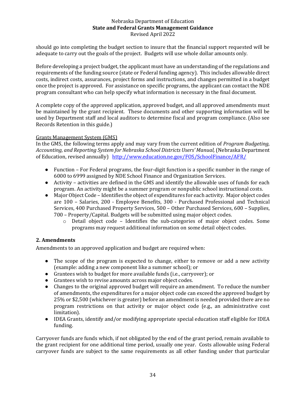should go into completing the budget section to insure that the financial support requested will be adequate to carry out the goals of the project. Budgets will use whole dollar amounts only.

Before developing a project budget, the applicant must have an understanding of the regulations and requirements of the funding source (state or Federal funding agency). This includes allowable direct costs, indirect costs, assurances, project forms and instructions, and changes permitted in a budget once the project is approved. For assistance on specific programs, the applicant can contact the NDE program consultant who can help specify what information is necessary in the final document.

A complete copy of the approved application, approved budget, and all approved amendments must be maintained by the grant recipient. These documents and other supporting information will be used by Department staff and local auditors to determine fiscal and program compliance. (Also see Records Retention in this guide.)

## Grants Management System (GMS)

In the GMS, the following terms apply and may vary from the current edition of *Program Budgeting, Accounting, and Reporting System for Nebraska School Districts Users' Manual,* (Nebraska Department of Education, revised annually) <http://www.education.ne.gov/FOS/SchoolFinance/AFR/>

- Function For Federal programs, the four-digit function is a specific number in the range of 6000 to 6999 assigned by NDE School Finance and Organization Services.
- Activity activities are defined in the GMS and identify the allowable uses of funds for each program. An activity might be a summer program or nonpublic school instructional costs.
- Major Object Code Identifies the object of expenditures for each activity. Major object codes are 100 – Salaries, 200 - Employee Benefits, 300 - Purchased Professional and Technical Services, 400 Purchased Property Services, 500 – Other Purchased Services, 600 – Supplies, 700 – Property/Capital. Budgets will be submitted using major object codes.
	- $\circ$  Detail object code Identifies the sub-categories of major object codes. Some programs may request additional information on some detail object codes.

## <span id="page-33-0"></span>**2. Amendments**

Amendments to an approved application and budget are required when:

- The scope of the program is expected to change, either to remove or add a new activity (example: adding a new component like a summer school); or
- Grantees wish to budget for more available funds (i.e., carryover); or
- Grantees wish to revise amounts across major object codes.
- Changes to the original approved budget will require an amendment. To reduce the number of amendments, the expenditures for a major object code can exceed the approved budget by 25% or \$2,500 (whichever is greater) before an amendment is needed provided there are no program restrictions on that activity or major object code (e.g., an administrative cost limitation).
- IDEA Grants, identify and/or modifying appropriate special education staff eligible for IDEA funding.

Carryover funds are funds which, if not obligated by the end of the grant period, remain available to the grant recipient for one additional time period, usually one year. Costs allowable using Federal carryover funds are subject to the same requirements as all other funding under that particular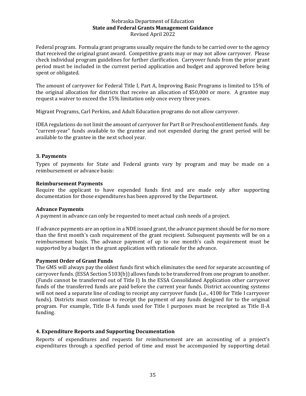Federal program. Formula grant programs usually require the funds to be carried over to the agency that received the original grant award. Competitive grants may or may not allow carryover. Please check individual program guidelines for further clarification. Carryover funds from the prior grant period must be included in the current period application and budget and approved before being spent or obligated.

The amount of carryover for Federal Title I, Part A, Improving Basic Programs is limited to 15% of the original allocation for districts that receive an allocation of \$50,000 or more. A grantee may request a waiver to exceed the 15% limitation only once every three years.

Migrant Programs, Carl Perkins, and Adult Education programs do not allow carryover.

IDEA regulations do not limit the amount of carryover for Part B or Preschool entitlement funds. Any "current-year" funds available to the grantee and not expended during the grant period will be available to the grantee in the next school year.

## <span id="page-34-0"></span>**3. Payments**

Types of payments for State and Federal grants vary by program and may be made on a reimbursement or advance basis:

#### **Reimbursement Payments**

Require the applicant to have expended funds first and are made only after supporting documentation for those expenditures has been approved by the Department.

#### **Advance Payments**

A payment in advance can only be requested to meet actual cash needs of a project.

If advance payments are an option in a NDE issued grant, the advance payment should be for no more than the first month's cash requirement of the grant recipient. Subsequent payments will be on a reimbursement basis. The advance payment of up to one month's cash requirement must be supported by a budget in the grant application with rationale for the advance.

#### **Payment Order of Grant Funds**

The GMS will always pay the oldest funds first which eliminates the need for separate accounting of carryover funds. (ESSA Section 5103(b)) allows funds to be transferred from one program to another. (Funds cannot be transferred out of Title I) In the ESSA Consolidated Application other carryover funds of the transferred funds are paid before the current year funds. District accounting systems will not need a separate line of coding to receipt any carryover funds (i.e., 4100 for Title I carryover funds). Districts must continue to receipt the payment of any funds designed for to the original program. For example, Title II-A funds used for Title I purposes must be receipted as Title II-A funding.

## <span id="page-34-1"></span>**4. Expenditure Reports and Supporting Documentation**

Reports of expenditures and requests for reimbursement are an accounting of a project's expenditures through a specified period of time and must be accompanied by supporting detail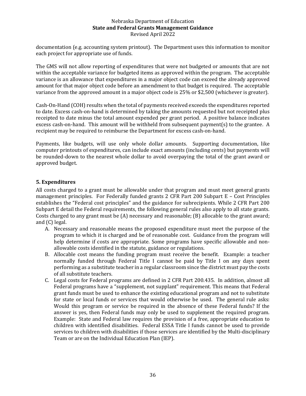documentation (e.g. accounting system printout). The Department uses this information to monitor each project for appropriate use of funds.

The GMS will not allow reporting of expenditures that were not budgeted or amounts that are not within the acceptable variance for budgeted items as approved within the program. The acceptable variance is an allowance that expenditures in a major object code can exceed the already approved amount for that major object code before an amendment to that budget is required. The acceptable variance from the approved amount in a major object code is 25% or \$2,500 (whichever is greater).

Cash-On-Hand (COH) results when the total of payments received exceeds the expenditures reported to date. Excess cash-on-hand is determined by taking the amounts requested but not receipted plus receipted to date minus the total amount expended per grant period. A positive balance indicates excess cash-on-hand. This amount will be withheld from subsequent payment(s) to the grantee. A recipient may be required to reimburse the Department for excess cash-on-hand.

Payments, like budgets, will use only whole dollar amounts. Supporting documentation, like computer printouts of expenditures, can include exact amounts (including cents) but payments will be rounded-down to the nearest whole dollar to avoid overpaying the total of the grant award or approved budget.

## <span id="page-35-0"></span>**5. Expenditures**

All costs charged to a grant must be allowable under that program and must meet general grants management principles. For Federally funded grants 2 CFR Part 200 Subpart E – Cost Principles establishes the "Federal cost principles" and the guidance for subrecipients. While 2 CFR Part 200 Subpart E detail the Federal requirements, the following general rules also apply to all state grants. Costs charged to any grant must be (A) necessary and reasonable; (B) allocable to the grant award; and (C) legal.

- A. Necessary and reasonable means the proposed expenditure must meet the purpose of the program to which it is charged and be of reasonable cost. Guidance from the program will help determine if costs are appropriate. Some programs have specific allowable and nonallowable costs identified in the statute, guidance or regulations.
- B. Allocable cost means the funding program must receive the benefit. Example: a teacher normally funded through Federal Title I cannot be paid by Title I on any days spent performing as a substitute teacher in a regular classroom since the district must pay the costs of all substitute teachers.
- C. Legal costs for Federal programs are defined in 2 CFR Part 200.435. In addition, almost all Federal programs have a "supplement, not supplant" requirement. This means that Federal grant funds must be used to enhance the existing educational program and not to substitute for state or local funds or services that would otherwise be used. The general rule asks: Would this program or service be required in the absence of these Federal funds? If the answer is yes, then Federal funds may only be used to supplement the required program. Example: State and Federal law requires the provision of a free, appropriate education to children with identified disabilities. Federal ESSA Title I funds cannot be used to provide services to children with disabilities if those services are identified by the Multi-disciplinary Team or are on the Individual Education Plan (IEP).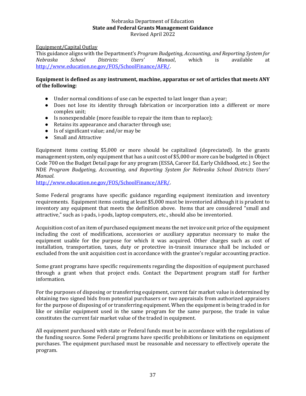Equipment/Capital Outlay

This guidance aligns with the Department's *Program Budgeting, Accounting, and Reporting System for Nebraska School Districts: Users' Manual*, which is available at [http://www.education.ne.gov/FOS/SchoolFinance/AFR/.](http://www.education.ne.gov/FOS/SchoolFinance/AFR/)

## **Equipment is defined as any instrument, machine, apparatus or set of articles that meets ANY of the following:**

- Under normal conditions of use can be expected to last longer than a year;
- Does not lose its identity through fabrication or incorporation into a different or more complex unit;
- Is nonexpendable (more feasible to repair the item than to replace);
- Retains its appearance and character through use;
- Is of significant value; and/or may be
- Small and Attractive

Equipment items costing \$5,000 or more should be capitalized (depreciated). In the grants management system, only equipment that has a unit cost of \$5,000 or more can be budgeted in Object Code 700 on the Budget Detail page for any program (ESSA, Career Ed, Early Childhood, etc.) See the NDE *Program Budgeting, Accounting, and Reporting System for Nebraska School Districts Users' Manual*.

[http://www.education.ne.gov/FOS/SchoolFinance/AFR/.](http://www.education.ne.gov/FOS/SchoolFinance/AFR/)

Some Federal programs have specific guidance regarding equipment itemization and inventory requirements. Equipment items costing at least \$5,000 must be inventoried although it is prudent to inventory any equipment that meets the definition above. Items that are considered "small and attractive," such as i-pads, i-pods, laptop computers, etc., should also be inventoried.

Acquisition cost of an item of purchased equipment means the net invoice unit price of the equipment including the cost of modifications, accessories or auxiliary apparatus necessary to make the equipment usable for the purpose for which it was acquired. Other charges such as cost of installation, transportation, taxes, duty or protective in-transit insurance shall be included or excluded from the unit acquisition cost in accordance with the grantee's regular accounting practice.

Some grant programs have specific requirements regarding the disposition of equipment purchased through a grant when that project ends. Contact the Department program staff for further information.

For the purposes of disposing or transferring equipment, current fair market value is determined by obtaining two signed bids from potential purchasers or two appraisals from authorized appraisers for the purpose of disposing of or transferring equipment. When the equipment is being traded in for like or similar equipment used in the same program for the same purpose, the trade in value constitutes the current fair market value of the traded in equipment.

All equipment purchased with state or Federal funds must be in accordance with the regulations of the funding source. Some Federal programs have specific prohibitions or limitations on equipment purchases. The equipment purchased must be reasonable and necessary to effectively operate the program.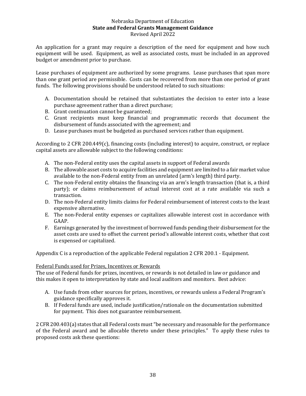An application for a grant may require a description of the need for equipment and how such equipment will be used. Equipment, as well as associated costs, must be included in an approved budget or amendment prior to purchase.

Lease purchases of equipment are authorized by some programs. Lease purchases that span more than one grant period are permissible. Costs can be recovered from more than one period of grant funds. The following provisions should be understood related to such situations:

- A. Documentation should be retained that substantiates the decision to enter into a lease purchase agreement rather than a direct purchase;
- B. Grant continuation cannot be guaranteed;
- C. Grant recipients must keep financial and programmatic records that document the disbursement of funds associated with the agreement; and
- D. Lease purchases must be budgeted as purchased services rather than equipment.

According to 2 CFR 200.449(c), financing costs (including interest) to acquire, construct, or replace capital assets are allowable subject to the following conditions:

- A. The non-Federal entity uses the capital assets in support of Federal awards
- B. The allowable asset costs to acquire facilities and equipment are limited to a fair market value available to the non-Federal entity from an unrelated (arm's length) third party.
- C. The non-Federal entity obtains the financing via an arm's length transaction (that is, a third party); or claims reimbursement of actual interest cost at a rate available via such a transaction.
- D. The non-Federal entity limits claims for Federal reimbursement of interest costs to the least expensive alternative.
- E. The non-Federal entity expenses or capitalizes allowable interest cost in accordance with GAAP.
- F. Earnings generated by the investment of borrowed funds pending their disbursement for the asset costs are used to offset the current period's allowable interest costs, whether that cost is expensed or capitalized.

Appendix C is a reproduction of the applicable Federal regulation 2 CFR 200.1 - Equipment.

#### Federal Funds used for Prizes, Incentives or Rewards

The use of Federal funds for prizes, incentives, or rewards is not detailed in law or guidance and this makes it open to interpretation by state and local auditors and monitors. Best advice:

- A. Use funds from other sources for prizes, incentives, or rewards unless a Federal Program's guidance specifically approves it.
- B. If Federal funds are used, include justification/rationale on the documentation submitted for payment. This does not guarantee reimbursement.

2 CFR 200.403(a) states that all Federal costs must "be necessary and reasonable for the performance of the Federal award and be allocable thereto under these principles." To apply these rules to proposed costs ask these questions: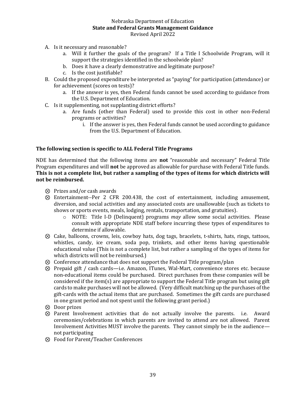- A. Is it necessary and reasonable?
	- a. Will it further the goals of the program? If a Title I Schoolwide Program, will it support the strategies identified in the schoolwide plan?
	- b. Does it have a clearly demonstrative and legitimate purpose?
	- c. Is the cost justifiable?
- B. Could the proposed expenditure be interpreted as "paying" for participation (attendance) or for achievement (scores on tests)?
	- a. If the answer is yes, then Federal funds cannot be used according to guidance from the U.S. Department of Education.
- C. Is it supplementing, not supplanting district efforts?
	- a. Are funds (other than Federal) used to provide this cost in other non-Federal programs or activities?
		- i. If the answer is yes, then Federal funds cannot be used according to guidance from the U.S. Department of Education.

## **The following section is specific to ALL Federal Title Programs**

NDE has determined that the following items are **not** "reasonable and necessary" Federal Title Program expenditures and will **not** be approved as allowable for purchase with Federal Title funds. **This is not a complete list, but rather a sampling of the types of items for which districts will not be reimbursed.**

- ⊗ Prizes and/or cash awards
- ⊗ Entertainment--Per 2 CFR 200.438, the cost of entertainment, including amusement, diversion, and social activities and any associated costs are unallowable (such as tickets to shows or sports events, meals, lodging, rentals, transportation, and gratuities).
	- o NOTE: Title I-D (Delinquent) programs *may* allow some social activities. Please consult with appropriate NDE staff before incurring these types of expenditures to determine if allowable.
- ⊗ Cake, balloons, crowns, leis, cowboy hats, dog tags, bracelets, t-shirts, hats, rings, tattoos, whistles, candy, ice cream, soda pop, trinkets, and other items having questionable educational value (This is not a complete list, but rather a sampling of the types of items for which districts will not be reimbursed.)
- ⊗ Conference attendance that does not support the Federal Title program/plan
- ⊗ Prepaid gift / cash cards—i.e. Amazon, ITunes, Wal-Mart, convenience stores etc. because non-educational items could be purchased. Direct purchases from these companies will be considered if the item(s) are appropriate to support the Federal Title program but using gift cards to make purchases will not be allowed. (Very difficult matching up the purchases of the gift-cards with the actual items that are purchased. Sometimes the gift cards are purchased in one grant period and not spent until the following grant period.)
- ⊗ Door prizes
- ⊗ Parent Involvement activities that do not actually involve the parents. i.e. Award ceremonies/celebrations in which parents are invited to attend are not allowed. Parent Involvement Activities MUST involve the parents. They cannot simply be in the audience not participating
- ⊗ Food for Parent/Teacher Conferences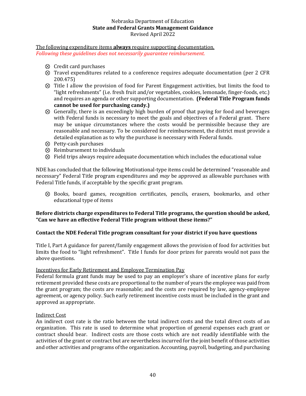The following expenditure items **always** require supporting documentation. *Following these guidelines does not necessarily guarantee reimbursement.*

- ⊗ Credit card purchases
- ⊗ Travel expenditures related to a conference requires adequate documentation (per 2 CFR 200.475)
- ⊗ Title I allow the provision of food for Parent Engagement activities, but limits the food to "light refreshments" (i.e. fresh fruit and/or vegetables, cookies, lemonade, finger-foods, etc.) and requires an agenda or other supporting documentation. **(Federal Title Program funds cannot be used for purchasing candy.)**
- ⊗ Generally, there is an exceedingly high burden of proof that paying for food and beverages with Federal funds is necessary to meet the goals and objectives of a Federal grant. There may be unique circumstances where the costs would be permissible because they are reasonable and necessary. To be considered for reimbursement, the district must provide a detailed explanation as to why the purchase is necessary with Federal funds.
- ⊗ Petty-cash purchases
- ⊗ Reimbursement to individuals
- ⊗ Field trips always require adequate documentation which includes the educational value

NDE has concluded that the following Motivational-type items could be determined "reasonable and necessary" Federal Title program expenditures and *may* be approved as allowable purchases with Federal Title funds, if acceptable by the specific grant program.

⊗ Books, board games, recognition certificates, pencils, erasers, bookmarks, and other educational type of items

## **Before districts charge expenditures to Federal Title programs, the question should be asked, "Can we have an effective Federal Title program without these items?"**

## **Contact the NDE Federal Title program consultant for your district if you have questions**

Title I, Part A guidance for parent/family engagement allows the provision of food for activities but limits the food to "light refreshment". Title I funds for door prizes for parents would not pass the above questions.

## <span id="page-39-0"></span>Incentives for Early Retirement and Employee Termination Pay

Federal formula grant funds may be used to pay an employer's share of incentive plans for early retirement provided these costs are proportional to the number of years the employee was paid from the grant program; the costs are reasonable; and the costs are required by law, agency-employee agreement, or agency policy. Such early retirement incentive costs must be included in the grant and approved as appropriate.

## <span id="page-39-1"></span>Indirect Cost

An indirect cost rate is the ratio between the total indirect costs and the total direct costs of an organization. This rate is used to determine what proportion of general expenses each grant or contract should bear. Indirect costs are those costs which are not readily identifiable with the activities of the grant or contract but are nevertheless incurred for the joint benefit of those activities and other activities and programs of the organization. Accounting, payroll, budgeting, and purchasing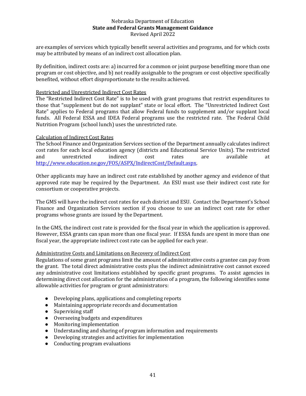are examples of services which typically benefit several activities and programs, and for which costs may be attributed by means of an indirect cost allocation plan.

By definition, indirect costs are: a) incurred for a common or joint purpose benefiting more than one program or cost objective, and b) not readily assignable to the program or cost objective specifically benefited, without effort disproportionate to the results achieved.

## <span id="page-40-0"></span>Restricted and Unrestricted Indirect Cost Rates

The "Restricted Indirect Cost Rate" is to be used with grant programs that restrict expenditures to those that "supplement but do not supplant" state or local effort. The "Unrestricted Indirect Cost Rate" applies to Federal programs that allow Federal funds to supplement and/or supplant local funds. All Federal ESSA and IDEA Federal programs use the restricted rate. The Federal Child Nutrition Program (school lunch) uses the unrestricted rate.

## <span id="page-40-1"></span>Calculation of Indirect Cost Rates

The School Finance and Organization Services section of the Department annually calculates indirect cost rates for each local education agency (districts and Educational Service Units). The restricted and unrestricted indirect cost rates are available at [http://www.education.ne.gov/FOS/ASPX/IndirectCost/Default.aspx.](http://www.education.ne.gov/FOS/ASPX/IndirectCost/Default.aspx)

Other applicants may have an indirect cost rate established by another agency and evidence of that approved rate may be required by the Department. An ESU must use their indirect cost rate for consortium or cooperative projects.

The GMS will have the indirect cost rates for each district and ESU. Contact the Department's School Finance and Organization Services section if you choose to use an indirect cost rate for other programs whose grants are issued by the Department.

In the GMS, the indirect cost rate is provided for the fiscal year in which the application is approved. However, ESSA grants can span more than one fiscal year. If ESSA funds are spent in more than one fiscal year, the appropriate indirect cost rate can be applied for each year.

#### <span id="page-40-2"></span>Administrative Costs and Limitations on Recovery of Indirect Cost

Regulations of some grant programs limit the amount of administrative costs a grantee can pay from the grant. The total direct administrative costs plus the indirect administrative cost cannot exceed any administrative cost limitations established by specific grant programs. To assist agencies in determining direct cost allocation for the administration of a program, the following identifies some allowable activities for program or grant administrators:

- Developing plans, applications and completing reports
- Maintaining appropriate records and documentation
- Supervising staff
- Overseeing budgets and expenditures
- Monitoring implementation
- Understanding and sharing of program information and requirements
- Developing strategies and activities for implementation
- Conducting program evaluations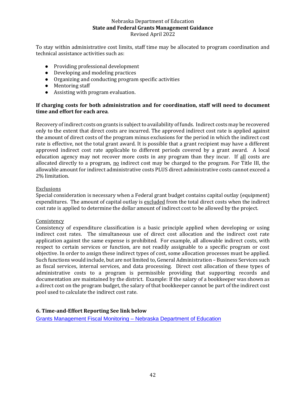To stay within administrative cost limits, staff time may be allocated to program coordination and technical assistance activities such as:

- Providing professional development
- Developing and modeling practices
- Organizing and conducting program specific activities
- Mentoring staff
- Assisting with program evaluation.

## **If charging costs for both administration and for coordination, staff will need to document time and effort for each area**.

Recovery of indirect costs on grants is subject to availability of funds. Indirect costs may be recovered only to the extent that direct costs are incurred. The approved indirect cost rate is applied against the amount of direct costs of the program minus exclusions for the period in which the indirect cost rate is effective, not the total grant award. It is possible that a grant recipient may have a different approved indirect cost rate applicable to different periods covered by a grant award. A local education agency may not recover more costs in any program than they incur. If all costs are allocated directly to a program, no indirect cost may be charged to the program. For Title III, the allowable amount for indirect administrative costs PLUS direct administrative costs cannot exceed a 2% limitation.

## <span id="page-41-0"></span>**Exclusions**

Special consideration is necessary when a Federal grant budget contains capital outlay (equipment) expenditures. The amount of capital outlay is excluded from the total direct costs when the indirect cost rate is applied to determine the dollar amount of indirect cost to be allowed by the project.

#### **Consistency**

Consistency of expenditure classification is a basic principle applied when developing or using indirect cost rates. The simultaneous use of direct cost allocation and the indirect cost rate application against the same expense is prohibited. For example, all allowable indirect costs, with respect to certain services or function, are not readily assignable to a specific program or cost objective. In order to assign these indirect types of cost, some allocation processes must be applied. Such functions would include, but are not limited to, General Administration – Business Services such as fiscal services, internal services, and data processing. Direct cost allocation of these types of administrative costs to a program is permissible providing that supporting records and documentation are maintained by the district. Example: If the salary of a bookkeeper was shown as a direct cost on the program budget, the salary of that bookkeeper cannot be part of the indirect cost pool used to calculate the indirect cost rate.

## <span id="page-41-1"></span>**6. Time-and-Effort Reporting See link below**

[Grants Management Fiscal Monitoring –](https://www.education.ne.gov/gms2/grants-management-fiscal-monitoring/) Nebraska Department of Education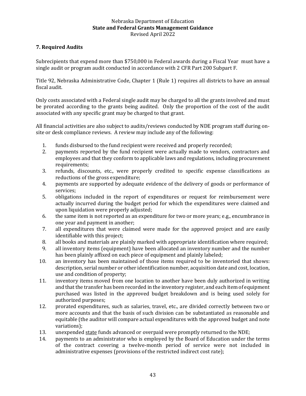## <span id="page-42-0"></span>**7. Required Audits**

Subrecipients that expend more than \$750,000 in Federal awards during a Fiscal Year must have a single audit or program audit conducted in accordance with 2 CFR Part 200 Subpart F.

Title 92, Nebraska Administrative Code, Chapter 1 (Rule 1) requires all districts to have an annual fiscal audit.

Only costs associated with a Federal single audit may be charged to all the grants involved and must be prorated according to the grants being audited. Only the proportion of the cost of the audit associated with any specific grant may be charged to that grant.

All financial activities are also subject to audits/reviews conducted by NDE program staff during onsite or desk compliance reviews. A review may include any of the following:

- 1. funds disbursed to the fund recipient were received and properly recorded;
- 2. payments reported by the fund recipient were actually made to vendors, contractors and employees and that they conform to applicable laws and regulations, including procurement requirements;
- 3. refunds, discounts, etc., were properly credited to specific expense classifications as reductions of the gross expenditure;
- 4. payments are supported by adequate evidence of the delivery of goods or performance of services;
- 5. obligations included in the report of expenditures or request for reimbursement were actually incurred during the budget period for which the expenditures were claimed and upon liquidation were properly adjusted;
- 6. the same item is not reported as an expenditure for two or more years; e.g., encumbrance in one year and payment in another;
- 7. all expenditures that were claimed were made for the approved project and are easily identifiable with this project;
- 8. all books and materials are plainly marked with appropriate identification where required;
- 9. all inventory items (equipment) have been allocated an inventory number and the number has been plainly affixed on each piece of equipment and plainly labeled;
- 10. an inventory has been maintained of those items required to be inventoried that shows: description, serial number or other identification number, acquisition date and cost, location, use and condition of property;
- 11. inventory items moved from one location to another have been duly authorized in writing and that the transfer has been recorded in the inventory register, and each item of equipment purchased was listed in the approved budget breakdown and is being used solely for authorized purposes;
- 12. prorated expenditures, such as salaries, travel, etc., are divided correctly between two or more accounts and that the basis of such division can be substantiated as reasonable and equitable (the auditor will compare actual expenditures with the approved budget and note variations);
- 13. unexpended state funds advanced or overpaid were promptly returned to the NDE;
- 14. payments to an administrator who is employed by the Board of Education under the terms of the contract covering a twelve-month period of service were not included in administrative expenses (provisions of the restricted indirect cost rate);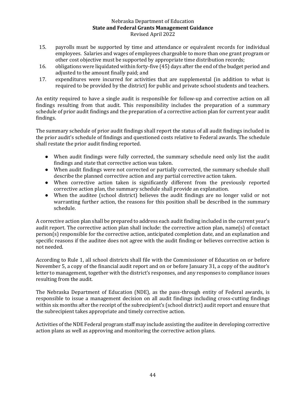- 15. payrolls must be supported by time and attendance or equivalent records for individual employees. Salaries and wages of employees chargeable to more than one grant program or other cost objective must be supported by appropriate time distribution records;
- 16. obligations were liquidated within forty-five (45) days after the end of the budget period and adjusted to the amount finally paid; and
- 17. expenditures were incurred for activities that are supplemental (in addition to what is required to be provided by the district) for public and private school students and teachers.

An entity required to have a single audit is responsible for follow-up and corrective action on all findings resulting from that audit. This responsibility includes the preparation of a summary schedule of prior audit findings and the preparation of a corrective action plan for current year audit findings.

The summary schedule of prior audit findings shall report the status of all audit findings included in the prior audit's schedule of findings and questioned costs relative to Federal awards. The schedule shall restate the prior audit finding reported.

- When audit findings were fully corrected, the summary schedule need only list the audit findings and state that corrective action was taken.
- When audit findings were not corrected or partially corrected, the summary schedule shall describe the planned corrective action and any partial corrective action taken.
- When corrective action taken is significantly different from the previously reported corrective action plan, the summary schedule shall provide an explanation.
- When the auditee (school district) believes the audit findings are no longer valid or not warranting further action, the reasons for this position shall be described in the summary schedule.

A corrective action plan shall be prepared to address each audit finding included in the current year's audit report. The corrective action plan shall include: the corrective action plan, name(s) of contact person(s) responsible for the corrective action, anticipated completion date, and an explanation and specific reasons if the auditee does not agree with the audit finding or believes corrective action is not needed.

According to Rule 1, all school districts shall file with the Commissioner of Education on or before November 5, a copy of the financial audit report and on or before January 31, a copy of the auditor's letter to management, together with the district's responses, and any responses to compliance issues resulting from the audit.

The Nebraska Department of Education (NDE), as the pass-through entity of Federal awards, is responsible to issue a management decision on all audit findings including cross-cutting findings within six months after the receipt of the subrecipient's (school district) audit report and ensure that the subrecipient takes appropriate and timely corrective action.

Activities of the NDE Federal program staff may include assisting the auditee in developing corrective action plans as well as approving and monitoring the corrective action plans.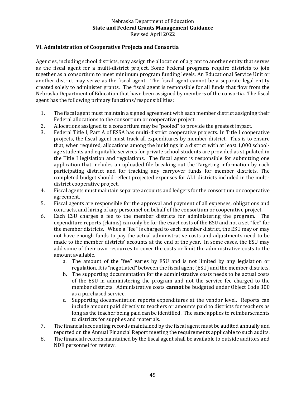## <span id="page-44-0"></span>**VI. Administration of Cooperative Projects and Consortia**

Agencies, including school districts, may assign the allocation of a grant to another entity that serves as the fiscal agent for a multi-district project. Some Federal programs require districts to join together as a consortium to meet minimum program funding levels. An Educational Service Unit or another district may serve as the fiscal agent. The fiscal agent cannot be a separate legal entity created solely to administer grants. The fiscal agent is responsible for all funds that flow from the Nebraska Department of Education that have been assigned by members of the consortia. The fiscal agent has the following primary functions/responsibilities:

- 1. The fiscal agent must maintain a signed agreement with each member district assigning their Federal allocations to the consortium or cooperative project.
- 2. Allocations assigned to a consortium may be "pooled" to provide the greatest impact.
- 3. Federal Title I, Part A of ESSA has multi-district cooperative projects. In Title I cooperative projects, the fiscal agent must track all expenditures by member district. This is to ensure that, when required, allocations among the buildings in a district with at least 1,000 schoolage students and equitable services for private school students are provided as stipulated in the Title I legislation and regulations. The fiscal agent is responsible for submitting one application that includes an uploaded file breaking out the Targeting information by each participating district and for tracking any carryover funds for member districts. The completed budget should reflect projected expenses for ALL districts included in the multidistrict cooperative project.
- 4. Fiscal agents must maintain separate accounts and ledgers for the consortium or cooperative agreement.
- 5. Fiscal agents are responsible for the approval and payment of all expenses, obligations and contracts, and hiring of any personnel on behalf of the consortium or cooperative project.
- 6. Each ESU charges a fee to the member districts for administering the program. The expenditure reports (claims) can only be for the exact costs of the ESU and not a set "fee" for the member districts. When a "fee" is charged to each member district, the ESU may or may not have enough funds to pay the actual administrative costs and adjustments need to be made to the member districts' accounts at the end of the year. In some cases, the ESU may add some of their own resources to cover the costs or limit the administrative costs to the amount available.
	- a. The amount of the "fee" varies by ESU and is not limited by any legislation or regulation. It is "negotiated" between the fiscal agent (ESU) and the member districts.
	- b. The supporting documentation for the administrative costs needs to be actual costs of the ESU in administering the program and not the service fee charged to the member districts. Administrative costs **cannot** be budgeted under Object Code 300 as a purchased service.
	- c. Supporting documentation reports expenditures at the vendor level. Reports can include amount paid directly to teachers or amounts paid to districts for teachers as long as the teacher being paid can be identified. The same applies to reimbursements to districts for supplies and materials.
- 7. The financial accounting records maintained by the fiscal agent must be audited annually and reported on the Annual Financial Report meeting the requirements applicable to such audits.
- 8. The financial records maintained by the fiscal agent shall be available to outside auditors and NDE personnel for review.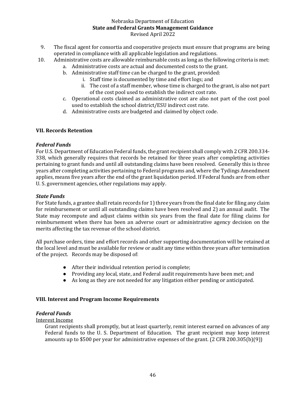- 9. The fiscal agent for consortia and cooperative projects must ensure that programs are being operated in compliance with all applicable legislation and regulations.
- 10. Administrative costs are allowable reimbursable costs as long as the following criteria is met:
	- a. Administrative costs are actual and documented costs to the grant.
	- b. Administrative staff time can be charged to the grant, provided:
		- i. Staff time is documented by time and effort logs; and
			- ii. The cost of a staff member, whose time is charged to the grant, is also not part of the cost pool used to establish the indirect cost rate.
	- c. Operational costs claimed as administrative cost are also not part of the cost pool used to establish the school district/ESU indirect cost rate.
	- d. Administrative costs are budgeted and claimed by object code.

## <span id="page-45-0"></span>**VII. Records Retention**

## *Federal Funds*

For U.S. Department of Education Federal funds, the grant recipient shall comply with 2 CFR 200.334- 338, which generally requires that records be retained for three years after completing activities pertaining to grant funds and until all outstanding claims have been resolved. Generally this is three years after completing activities pertaining to Federal programs and, where the Tydings Amendment applies, means five years after the end of the grant liquidation period. If Federal funds are from other U. S. government agencies, other regulations may apply.

## *State Funds*

For State funds, a grantee shall retain records for 1) three years from the final date for filing any claim for reimbursement or until all outstanding claims have been resolved and 2) an annual audit. The State may recompute and adjust claims within six years from the final date for filing claims for reimbursement when there has been an adverse court or administrative agency decision on the merits affecting the tax revenue of the school district.

All purchase orders, time and effort records and other supporting documentation will be retained at the local level and must be available for review or audit any time within three years after termination of the project. Records may be disposed of:

- After their individual retention period is complete;
- Providing any local, state, and Federal audit requirements have been met; and
- As long as they are not needed for any litigation either pending or anticipated.

#### <span id="page-45-1"></span>**VIII. Interest and Program Income Requirements**

## *Federal Funds*

#### Interest Income

Grant recipients shall promptly, but at least quarterly, remit interest earned on advances of any Federal funds to the U. S. Department of Education. The grant recipient may keep interest amounts up to \$500 per year for administrative expenses of the grant. (2 CFR 200.305(b)(9))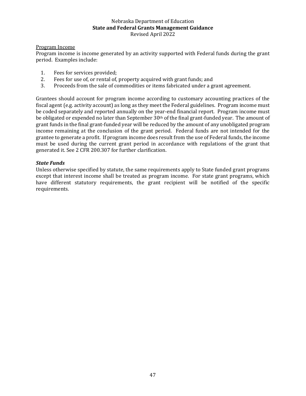## Program Income

Program income is income generated by an activity supported with Federal funds during the grant period. Examples include:

- 1. Fees for services provided;
- 2. Fees for use of, or rental of, property acquired with grant funds; and
- 3. Proceeds from the sale of commodities or items fabricated under a grant agreement.

Grantees should account for program income according to customary accounting practices of the fiscal agent (e.g. activity account) as long as they meet the Federal guidelines. Program income must be coded separately and reported annually on the year-end financial report. Program income must be obligated or expended no later than September  $30<sup>th</sup>$  of the final grant-funded year. The amount of grant funds in the final grant-funded year will be reduced by the amount of any unobligated program income remaining at the conclusion of the grant period. Federal funds are not intended for the grantee to generate a profit. If program income does result from the use of Federal funds, the income must be used during the current grant period in accordance with regulations of the grant that generated it. See 2 CFR 200.307 for further clarification.

## *State Funds*

Unless otherwise specified by statute, the same requirements apply to State funded grant programs except that interest income shall be treated as program income. For state grant programs, which have different statutory requirements, the grant recipient will be notified of the specific requirements.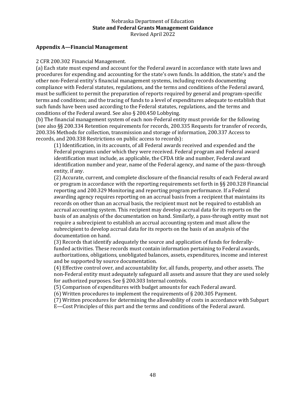#### <span id="page-47-0"></span>**Appendix A—Financial Management**

2 CFR 200.302 Financial Management.

(a) Each state must expend and account for the Federal award in accordance with state laws and procedures for expending and accounting for the state's own funds. In addition, the state's and the other non-Federal entity's financial management systems, including records documenting compliance with Federal statutes, regulations, and the terms and conditions of the Federal award, must be sufficient to permit the preparation of reports required by general and program-specific terms and conditions; and the tracing of funds to a level of expenditures adequate to establish that such funds have been used according to the Federal statutes, regulations, and the terms and conditions of the Federal award. See also § 200.450 Lobbying.

(b) The financial management system of each non-Federal entity must provide for the following (see also §§ 200.334 Retention requirements for records, 200.335 Requests for transfer of records, 200.336 Methods for collection, transmission and storage of information, 200.337 Access to records, and 200.338 Restrictions on public access to records):

(1) Identification, in its accounts, of all Federal awards received and expended and the Federal programs under which they were received. Federal program and Federal award identification must include, as applicable, the CFDA title and number, Federal award identification number and year, name of the Federal agency, and name of the pass-through entity, if any.

(2) Accurate, current, and complete disclosure of the financial results of each Federal award or program in accordance with the reporting requirements set forth in §§ 200.328 Financial reporting and 200.329 Monitoring and reporting program performance. If a Federal awarding agency requires reporting on an accrual basis from a recipient that maintains its records on other than an accrual basis, the recipient must not be required to establish an accrual accounting system. This recipient may develop accrual data for its reports on the basis of an analysis of the documentation on hand. Similarly, a pass-through entity must not require a subrecipient to establish an accrual accounting system and must allow the subrecipient to develop accrual data for its reports on the basis of an analysis of the documentation on hand.

(3) Records that identify adequately the source and application of funds for federallyfunded activities. These records must contain information pertaining to Federal awards, authorizations, obligations, unobligated balances, assets, expenditures, income and interest and be supported by source documentation.

(4) Effective control over, and accountability for, all funds, property, and other assets. The non-Federal entity must adequately safeguard all assets and assure that they are used solely for authorized purposes. See § 200.303 Internal controls.

(5) Comparison of expenditures with budget amounts for each Federal award.

(6) Written procedures to implement the requirements of § 200.305 Payment.

(7) Written procedures for determining the allowability of costs in accordance with Subpart

E—Cost Principles of this part and the terms and conditions of the Federal award.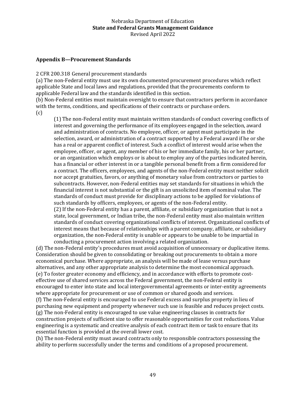## <span id="page-48-0"></span>**Appendix B—Procurement Standards**

2 CFR 200.318 General procurement standards

(a) The non-Federal entity must use its own documented procurement procedures which reflect applicable State and local laws and regulations, provided that the procurements conform to applicable Federal law and the standards identified in this section.

(b) Non-Federal entities must maintain oversight to ensure that contractors perform in accordance with the terms, conditions, and specifications of their contracts or purchase orders.

(c)

(1) The non-Federal entity must maintain written standards of conduct covering conflicts of interest and governing the performance of its employees engaged in the selection, award and administration of contracts. No employee, officer, or agent must participate in the selection, award, or administration of a contract supported by a Federal award if he or she has a real or apparent conflict of interest. Such a conflict of interest would arise when the employee, officer, or agent, any member of his or her immediate family, his or her partner, or an organization which employs or is about to employ any of the parties indicated herein, has a financial or other interest in or a tangible personal benefit from a firm considered for a contract. The officers, employees, and agents of the non-Federal entity must neither solicit nor accept gratuities, favors, or anything of monetary value from contractors or parties to subcontracts. However, non-Federal entities may set standards for situations in which the financial interest is not substantial or the gift is an unsolicited item of nominal value. The standards of conduct must provide for disciplinary actions to be applied for violations of such standards by officers, employees, or agents of the non-Federal entity. (2) If the non-Federal entity has a parent, affiliate, or subsidiary organization that is not a state, local government, or Indian tribe, the non-Federal entity must also maintain written standards of conduct covering organizational conflicts of interest. Organizational conflicts of

interest means that because of relationships with a parent company, affiliate, or subsidiary organization, the non-Federal entity is unable or appears to be unable to be impartial in conducting a procurement action involving a related organization.

(d) The non-Federal entity's procedures must avoid acquisition of unnecessary or duplicative items. Consideration should be given to consolidating or breaking out procurements to obtain a more economical purchase. Where appropriate, an analysis will be made of lease versus purchase alternatives, and any other appropriate analysis to determine the most economical approach. (e) To foster greater economy and efficiency, and in accordance with efforts to promote costeffective use of shared services across the Federal government, the non-Federal entity is encouraged to enter into state and local intergovernmental agreements or inter-entity agreements where appropriate for procurement or use of common or shared goods and services.

(f) The non-Federal entity is encouraged to use Federal excess and surplus property in lieu of purchasing new equipment and property whenever such use is feasible and reduces project costs. (g) The non-Federal entity is encouraged to use value engineering clauses in contracts for construction projects of sufficient size to offer reasonable opportunities for cost reductions. Value engineering is a systematic and creative analysis of each contract item or task to ensure that its essential function is provided at the overall lower cost.

(h) The non-Federal entity must award contracts only to responsible contractors possessing the ability to perform successfully under the terms and conditions of a proposed procurement.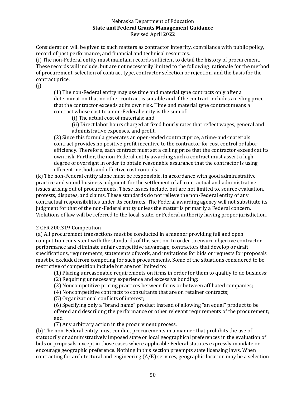Consideration will be given to such matters as contractor integrity, compliance with public policy, record of past performance, and financial and technical resources.

(i) The non-Federal entity must maintain records sufficient to detail the history of procurement. These records will include, but are not necessarily limited to the following: rationale for the method of procurement, selection of contract type, contractor selection or rejection, and the basis for the contract price.

(j)

(1) The non-Federal entity may use time and material type contracts only after a determination that no other contract is suitable and if the contract includes a ceiling price that the contractor exceeds at its own risk. Time and material type contract means a contract whose cost to a non-Federal entity is the sum of:

(i) The actual cost of materials; and

(ii) Direct labor hours charged at fixed hourly rates that reflect wages, general and administrative expenses, and profit.

(2) Since this formula generates an open-ended contract price, a time-and-materials contract provides no positive profit incentive to the contractor for cost control or labor efficiency. Therefore, each contract must set a ceiling price that the contractor exceeds at its own risk. Further, the non-Federal entity awarding such a contract must assert a high degree of oversight in order to obtain reasonable assurance that the contractor is using efficient methods and effective cost controls.

(k) The non-Federal entity alone must be responsible, in accordance with good administrative practice and sound business judgment, for the settlement of all contractual and administrative issues arising out of procurements. These issues include, but are not limited to, source evaluation, protests, disputes, and claims. These standards do not relieve the non-Federal entity of any contractual responsibilities under its contracts. The Federal awarding agency will not substitute its judgment for that of the non-Federal entity unless the matter is primarily a Federal concern. Violations of law will be referred to the local, state, or Federal authority having proper jurisdiction.

## 2 CFR 200.319 Competition

(a) All procurement transactions must be conducted in a manner providing full and open competition consistent with the standards of this section. In order to ensure objective contractor performance and eliminate unfair competitive advantage, contractors that develop or draft specifications, requirements, statements of work, and invitations for bids or requests for proposals must be excluded from competing for such procurements. Some of the situations considered to be restrictive of competition include but are not limited to:

(1) Placing unreasonable requirements on firms in order for them to qualify to do business; (2) Requiring unnecessary experience and excessive bonding;

(3) Noncompetitive pricing practices between firms or between affiliated companies;

(4) Noncompetitive contracts to consultants that are on retainer contracts;

(5) Organizational conflicts of interest;

(6) Specifying only a "brand name" product instead of allowing "an equal" product to be offered and describing the performance or other relevant requirements of the procurement; and

(7) Any arbitrary action in the procurement process.

(b) The non-Federal entity must conduct procurements in a manner that prohibits the use of statutorily or administratively imposed state or local geographical preferences in the evaluation of bids or proposals, except in those cases where applicable Federal statutes expressly mandate or encourage geographic preference. Nothing in this section preempts state licensing laws. When contracting for architectural and engineering (A/E) services, geographic location may be a selection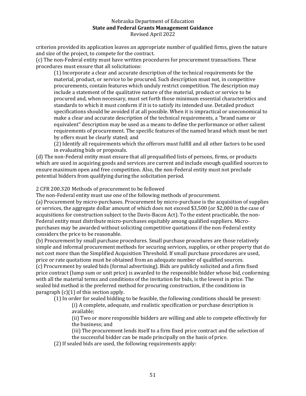criterion provided its application leaves an appropriate number of qualified firms, given the nature and size of the project, to compete for the contract.

(c) The non-Federal entity must have written procedures for procurement transactions. These procedures must ensure that all solicitations:

(1) Incorporate a clear and accurate description of the technical requirements for the material, product, or service to be procured. Such description must not, in competitive procurements, contain features which unduly restrict competition. The description may include a statement of the qualitative nature of the material, product or service to be procured and, when necessary, must set forth those minimum essential characteristics and standards to which it must conform if it is to satisfy its intended use. Detailed product specifications should be avoided if at all possible. When it is impractical or uneconomical to make a clear and accurate description of the technical requirements, a "brand name or equivalent" description may be used as a means to define the performance or other salient requirements of procurement. The specific features of the named brand which must be met by offers must be clearly stated; and

(2) Identify all requirements which the offerors must fulfill and all other factors to be used in evaluating bids or proposals.

(d) The non-Federal entity must ensure that all prequalified lists of persons, firms, or products which are used in acquiring goods and services are current and include enough qualified sources to ensure maximum open and free competition. Also, the non-Federal entity must not preclude potential bidders from qualifying during the solicitation period.

## 2 CFR 200.320 Methods of procurement to be followed

The non-Federal entity must use one of the following methods of procurement.

(a) Procurement by micro-purchases. Procurement by micro-purchase is the acquisition of supplies or services, the aggregate dollar amount of which does not exceed \$3,500 (or \$2,000 in the case of acquisitions for construction subject to the Davis-Bacon Act). To the extent practicable, the non-Federal entity must distribute micro-purchases equitably among qualified suppliers. Micropurchases may be awarded without soliciting competitive quotations if the non-Federal entity considers the price to be reasonable.

(b) Procurement by small purchase procedures. Small purchase procedures are those relatively simple and informal procurement methods for securing services, supplies, or other property that do not cost more than the Simplified Acquisition Threshold. If small purchase procedures are used, price or rate quotations must be obtained from an adequate number of qualified sources. (c) Procurement by sealed bids (formal advertising). Bids are publicly solicited and a firm fixed price contract (lump sum or unit price) is awarded to the responsible bidder whose bid, conforming with all the material terms and conditions of the invitation for bids, is the lowest in price. The sealed bid method is the preferred method for procuring construction, if the conditions in paragraph  $(c)(1)$  of this section apply.

(1) In order for sealed bidding to be feasible, the following conditions should be present: (i) A complete, adequate, and realistic specification or purchase description is available;

(ii) Two or more responsible bidders are willing and able to compete effectively for the business; and

(iii) The procurement lends itself to a firm fixed price contract and the selection of

the successful bidder can be made principally on the basis of price.

(2) If sealed bids are used, the following requirements apply: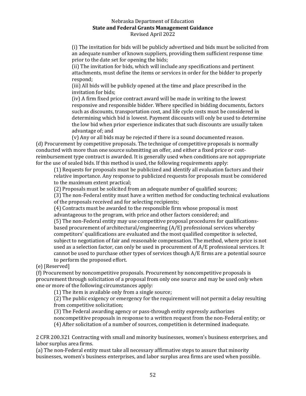(i) The invitation for bids will be publicly advertised and bids must be solicited from an adequate number of known suppliers, providing them sufficient response time prior to the date set for opening the bids;

(ii) The invitation for bids, which will include any specifications and pertinent attachments, must define the items or services in order for the bidder to properly respond;

(iii) All bids will be publicly opened at the time and place prescribed in the invitation for bids;

(iv) A firm fixed price contract award will be made in writing to the lowest responsive and responsible bidder. Where specified in bidding documents, factors such as discounts, transportation cost, and life cycle costs must be considered in determining which bid is lowest. Payment discounts will only be used to determine the low bid when prior experience indicates that such discounts are usually taken advantage of; and

(v) Any or all bids may be rejected if there is a sound documented reason. (d) Procurement by competitive proposals. The technique of competitive proposals is normally conducted with more than one source submitting an offer, and either a fixed price or costreimbursement type contract is awarded. It is generally used when conditions are not appropriate for the use of sealed bids. If this method is used, the following requirements apply:

(1) Requests for proposals must be publicized and identify all evaluation factors and their relative importance. Any response to publicized requests for proposals must be considered to the maximum extent practical;

(2) Proposals must be solicited from an adequate number of qualified sources;

(3) The non-Federal entity must have a written method for conducting technical evaluations of the proposals received and for selecting recipients;

(4) Contracts must be awarded to the responsible firm whose proposal is most advantageous to the program, with price and other factors considered; and (5) The non-Federal entity may use competitive proposal procedures for qualificationsbased procurement of architectural/engineering (A/E) professional services whereby competitors' qualifications are evaluated and the most qualified competitor is selected, subject to negotiation of fair and reasonable compensation. The method, where price is not used as a selection factor, can only be used in procurement of A/E professional services. It cannot be used to purchase other types of services though A/E firms are a potential source to perform the proposed effort.

(e) [Reserved]

(f) Procurement by noncompetitive proposals. Procurement by noncompetitive proposals is procurement through solicitation of a proposal from only one source and may be used only when one or more of the following circumstances apply:

(1) The item is available only from a single source;

(2) The public exigency or emergency for the requirement will not permit a delay resulting from competitive solicitation;

(3) The Federal awarding agency or pass-through entity expressly authorizes noncompetitive proposals in response to a written request from the non-Federal entity; or (4) After solicitation of a number of sources, competition is determined inadequate.

2 CFR 200.321 Contracting with small and minority businesses, women's business enterprises, and labor surplus area firms.

(a) The non-Federal entity must take all necessary affirmative steps to assure that minority businesses, women's business enterprises, and labor surplus area firms are used when possible.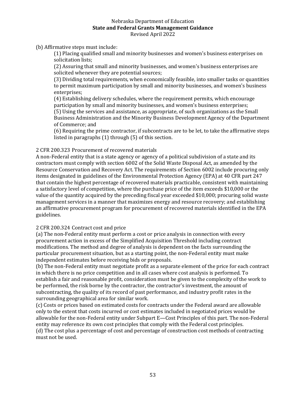(b) Affirmative steps must include:

(1) Placing qualified small and minority businesses and women's business enterprises on solicitation lists;

(2) Assuring that small and minority businesses, and women's business enterprises are solicited whenever they are potential sources;

(3) Dividing total requirements, when economically feasible, into smaller tasks or quantities to permit maximum participation by small and minority businesses, and women's business enterprises;

(4) Establishing delivery schedules, where the requirement permits, which encourage participation by small and minority businesses, and women's business enterprises; (5) Using the services and assistance, as appropriate, of such organizations as the Small Business Administration and the Minority Business Development Agency of the Department

of Commerce; and

(6) Requiring the prime contractor, if subcontracts are to be let, to take the affirmative steps listed in paragraphs (1) through (5) of this section.

## 2 CFR 200.323 Procurement of recovered materials

A non-Federal entity that is a state agency or agency of a political subdivision of a state and its contractors must comply with section 6002 of the Solid Waste Disposal Act, as amended by the Resource Conservation and Recovery Act. The requirements of Section 6002 include procuring only items designated in guidelines of the Environmental Protection Agency (EPA) at 40 CFR part 247 that contain the highest percentage of recovered materials practicable, consistent with maintaining a satisfactory level of competition, where the purchase price of the item exceeds \$10,000 or the value of the quantity acquired by the preceding fiscal year exceeded \$10,000; procuring solid waste management services in a manner that maximizes energy and resource recovery; and establishing an affirmative procurement program for procurement of recovered materials identified in the EPA guidelines.

#### 2 CFR 200.324 Contract cost and price

(a) The non-Federal entity must perform a cost or price analysis in connection with every procurement action in excess of the Simplified Acquisition Threshold including contract modifications. The method and degree of analysis is dependent on the facts surrounding the particular procurement situation, but as a starting point, the non-Federal entity must make independent estimates before receiving bids or proposals.

(b) The non-Federal entity must negotiate profit as a separate element of the price for each contract in which there is no price competition and in all cases where cost analysis is performed. To establish a fair and reasonable profit, consideration must be given to the complexity of the work to be performed, the risk borne by the contractor, the contractor's investment, the amount of subcontracting, the quality of its record of past performance, and industry profit rates in the surrounding geographical area for similar work.

(c) Costs or prices based on estimated costs for contracts under the Federal award are allowable only to the extent that costs incurred or cost estimates included in negotiated prices would be allowable for the non-Federal entity under Subpart E—Cost Principles of this part. The non-Federal entity may reference its own cost principles that comply with the Federal cost principles. (d) The cost plus a percentage of cost and percentage of construction cost methods of contracting must not be used.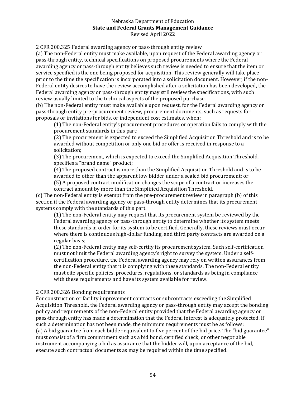2 CFR 200.325 Federal awarding agency or pass-through entity review

(a) The non-Federal entity must make available, upon request of the Federal awarding agency or pass-through entity, technical specifications on proposed procurements where the Federal awarding agency or pass-through entity believes such review is needed to ensure that the item or service specified is the one being proposed for acquisition. This review generally will take place prior to the time the specification is incorporated into a solicitation document. However, if the non-Federal entity desires to have the review accomplished after a solicitation has been developed, the Federal awarding agency or pass-through entity may still review the specifications, with such review usually limited to the technical aspects of the proposed purchase.

(b) The non-Federal entity must make available upon request, for the Federal awarding agency or pass-through entity pre-procurement review, procurement documents, such as requests for proposals or invitations for bids, or independent cost estimates, when:

(1) The non-Federal entity's procurement procedures or operation fails to comply with the procurement standards in this part;

(2) The procurement is expected to exceed the Simplified Acquisition Threshold and is to be awarded without competition or only one bid or offer is received in response to a solicitation;

(3) The procurement, which is expected to exceed the Simplified Acquisition Threshold, specifies a "brand name" product;

(4) The proposed contract is more than the Simplified Acquisition Threshold and is to be awarded to other than the apparent low bidder under a sealed bid procurement; or (5) A proposed contract modification changes the scope of a contract or increases the

contract amount by more than the Simplified Acquisition Threshold.

(c) The non-Federal entity is exempt from the pre-procurement review in paragraph (b) of this section if the Federal awarding agency or pass-through entity determines that its procurement systems comply with the standards of this part.

(1) The non-Federal entity may request that its procurement system be reviewed by the Federal awarding agency or pass-through entity to determine whether its system meets these standards in order for its system to be certified. Generally, these reviews must occur where there is continuous high-dollar funding, and third party contracts are awarded on a regular basis;

(2) The non-Federal entity may self-certify its procurement system. Such self-certification must not limit the Federal awarding agency's right to survey the system. Under a selfcertification procedure, the Federal awarding agency may rely on written assurances from the non-Federal entity that it is complying with these standards. The non-Federal entity must cite specific policies, procedures, regulations, or standards as being in compliance with these requirements and have its system available for review.

#### 2 CFR 200.326 Bonding requirements

For construction or facility improvement contracts or subcontracts exceeding the Simplified Acquisition Threshold, the Federal awarding agency or pass-through entity may accept the bonding policy and requirements of the non-Federal entity provided that the Federal awarding agency or pass-through entity has made a determination that the Federal interest is adequately protected. If such a determination has not been made, the minimum requirements must be as follows: (a) A bid guarantee from each bidder equivalent to five percent of the bid price. The "bid guarantee" must consist of a firm commitment such as a bid bond, certified check, or other negotiable instrument accompanying a bid as assurance that the bidder will, upon acceptance of the bid, execute such contractual documents as may be required within the time specified.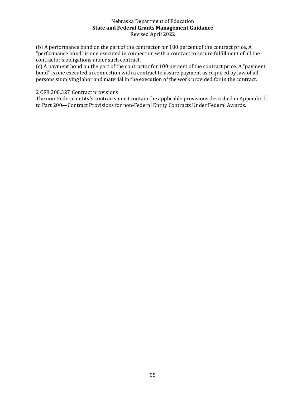(b) A performance bond on the part of the contractor for 100 percent of the contract price. A "performance bond" is one executed in connection with a contract to secure fulfillment of all the contractor's obligations under such contract.

(c) A payment bond on the part of the contractor for 100 percent of the contract price. A "payment bond" is one executed in connection with a contract to assure payment as required by law of all persons supplying labor and material in the execution of the work provided for in the contract.

## 2 CFR 200.327 Contract provisions

The non-Federal entity's contracts must contain the applicable provisions described in Appendix II to Part 200—Contract Provisions for non-Federal Entity Contracts Under Federal Awards.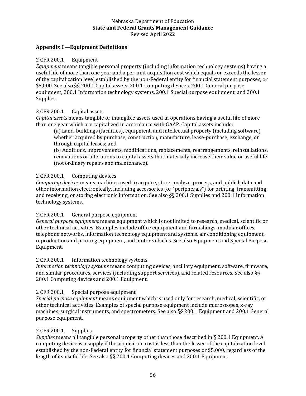## <span id="page-55-0"></span>**Appendix C—Equipment Definitions**

#### 2 CFR 200.1 Equipment

*Equipment* means tangible personal property (including information technology systems) having a useful life of more than one year and a per-unit acquisition cost which equals or exceeds the lesser of the capitalization level established by the non-Federal entity for financial statement purposes, or \$5,000. See also §§ 200.1 Capital assets, 200.1 Computing devices, 200.1 General purpose equipment, 200.1 Information technology systems, 200.1 Special purpose equipment, and 200.1 Supplies.

#### 2 CFR 200.1 Capital assets

*Capital assets* means tangible or intangible assets used in operations having a useful life of more than one year which are capitalized in accordance with GAAP. Capital assets include:

(a) Land, buildings (facilities), equipment, and intellectual property (including software) whether acquired by purchase, construction, manufacture, lease-purchase, exchange, or through capital leases; and

(b) Additions, improvements, modifications, replacements, rearrangements, reinstallations, renovations or alterations to capital assets that materially increase their value or useful life (not ordinary repairs and maintenance).

#### 2 CFR 200.1 Computing devices

*Computing devices* means machines used to acquire, store, analyze, process, and publish data and other information electronically, including accessories (or "peripherals") for printing, transmitting and receiving, or storing electronic information. See also §§ 200.1 Supplies and 200.1 Information technology systems.

#### 2 CFR 200.1 General purpose equipment

*General purpose equipment* means equipment which is not limited to research, medical, scientific or other technical activities. Examples include office equipment and furnishings, modular offices, telephone networks, information technology equipment and systems, air conditioning equipment, reproduction and printing equipment, and motor vehicles. See also Equipment and Special Purpose Equipment.

#### 2 CFR 200.1 Information technology systems

*Information technology systems* means computing devices, ancillary equipment, software, firmware, and similar procedures, services (including support services), and related resources. See also §§ 200.1 Computing devices and 200.1 Equipment.

## 2 CFR 200.1 Special purpose equipment

*Special purpose equipment* means equipment which is used only for research, medical, scientific, or other technical activities. Examples of special purpose equipment include microscopes, x-ray machines, surgical instruments, and spectrometers. See also §§ 200.1 Equipment and 200.1 General purpose equipment.

#### 2 CFR 200.1 Supplies

*Supplies* means all tangible personal property other than those described in § 200.1 Equipment. A computing device is a supply if the acquisition cost is less than the lesser of the capitalization level established by the non-Federal entity for financial statement purposes or \$5,000, regardless of the length of its useful life. See also §§ 200.1 Computing devices and 200.1 Equipment.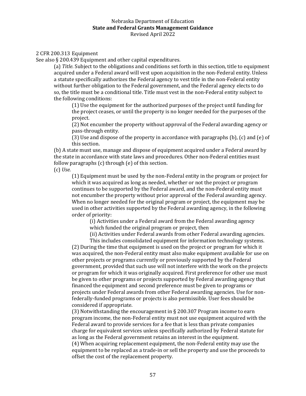#### 2 CFR 200.313 Equipment

See also § 200.439 Equipment and other capital expenditures.

(a) *Title.* Subject to the obligations and conditions set forth in this section, title to equipment acquired under a Federal award will vest upon acquisition in the non-Federal entity. Unless a statute specifically authorizes the Federal agency to vest title in the non-Federal entity without further obligation to the Federal government, and the Federal agency elects to do so, the title must be a conditional title. Title must vest in the non-Federal entity subject to the following conditions:

(1) Use the equipment for the authorized purposes of the project until funding for the project ceases, or until the property is no longer needed for the purposes of the project.

(2) Not encumber the property without approval of the Federal awarding agency or pass-through entity.

(3) Use and dispose of the property in accordance with paragraphs (b), (c) and (e) of this section.

(b) A state must use, manage and dispose of equipment acquired under a Federal award by the state in accordance with state laws and procedures. Other non-Federal entities must follow paragraphs (c) through (e) of this section.

(c) *Use.*

(1) Equipment must be used by the non-Federal entity in the program or project for which it was acquired as long as needed, whether or not the project or program continues to be supported by the Federal award, and the non-Federal entity must not encumber the property without prior approval of the Federal awarding agency. When no longer needed for the original program or project, the equipment may be used in other activities supported by the Federal awarding agency, in the following order of priority:

(i) Activities under a Federal award from the Federal awarding agency which funded the original program or project, then

(ii) Activities under Federal awards from other Federal awarding agencies.

This includes consolidated equipment for information technology systems. (2) During the time that equipment is used on the project or program for which it was acquired, the non-Federal entity must also make equipment available for use on other projects or programs currently or previously supported by the Federal government, provided that such use will not interfere with the work on the projects or program for which it was originally acquired. First preference for other use must be given to other programs or projects supported by Federal awarding agency that financed the equipment and second preference must be given to programs or projects under Federal awards from other Federal awarding agencies. Use for nonfederally-funded programs or projects is also permissible. User fees should be considered if appropriate.

(3) Notwithstanding the encouragement in § 200.307 Program income to earn program income, the non-Federal entity must not use equipment acquired with the Federal award to provide services for a fee that is less than private companies charge for equivalent services unless specifically authorized by Federal statute for as long as the Federal government retains an interest in the equipment.

(4) When acquiring replacement equipment, the non-Federal entity may use the equipment to be replaced as a trade-in or sell the property and use the proceeds to offset the cost of the replacement property.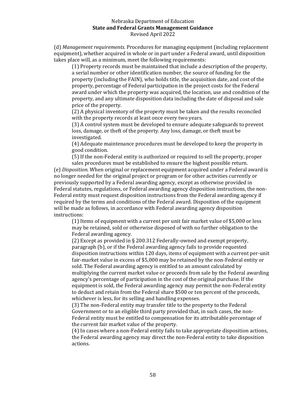(d) *Management requirements.* Procedures for managing equipment (including replacement equipment), whether acquired in whole or in part under a Federal award, until disposition takes place will, as a minimum, meet the following requirements:

(1) Property records must be maintained that include a description of the property, a serial number or other identification number, the source of funding for the property (including the FAIN), who holds title, the acquisition date, and cost of the property, percentage of Federal participation in the project costs for the Federal award under which the property was acquired, the location, use and condition of the property, and any ultimate disposition data including the date of disposal and sale price of the property.

(2) A physical inventory of the property must be taken and the results reconciled with the property records at least once every two years.

(3) A control system must be developed to ensure adequate safeguards to prevent loss, damage, or theft of the property. Any loss, damage, or theft must be investigated.

(4) Adequate maintenance procedures must be developed to keep the property in good condition.

(5) If the non-Federal entity is authorized or required to sell the property, proper sales procedures must be established to ensure the highest possible return.

(e) *Disposition.* When original or replacement equipment acquired under a Federal award is no longer needed for the original project or program or for other activities currently or previously supported by a Federal awarding agency, except as otherwise provided in Federal statutes, regulations, or Federal awarding agency disposition instructions, the non-Federal entity must request disposition instructions from the Federal awarding agency if required by the terms and conditions of the Federal award. Disposition of the equipment will be made as follows, in accordance with Federal awarding agency disposition instructions:

(1) Items of equipment with a current per unit fair market value of \$5,000 or less may be retained, sold or otherwise disposed of with no further obligation to the Federal awarding agency.

(2) Except as provided in § 200.312 Federally-owned and exempt property, paragraph (b), or if the Federal awarding agency fails to provide requested disposition instructions within 120 days, items of equipment with a current per-unit fair-market value in excess of \$5,000 may be retained by the non-Federal entity or sold. The Federal awarding agency is entitled to an amount calculated by multiplying the current market value or proceeds from sale by the Federal awarding agency's percentage of participation in the cost of the original purchase. If the equipment is sold, the Federal awarding agency may permit the non-Federal entity to deduct and retain from the Federal share \$500 or ten percent of the proceeds, whichever is less, for its selling and handling expenses.

(3) The non-Federal entity may transfer title to the property to the Federal Government or to an eligible third party provided that, in such cases, the non-Federal entity must be entitled to compensation for its attributable percentage of the current fair market value of the property.

(4) In cases where a non-Federal entity fails to take appropriate disposition actions, the Federal awarding agency may direct the non-Federal entity to take disposition actions.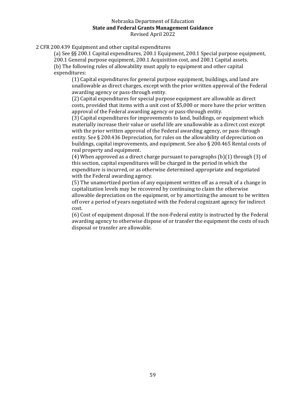2 CFR 200.439 Equipment and other capital expenditures

(a) See §§ 200.1 Capital expenditures, 200.1 Equipment, 200.1 Special purpose equipment, 200.1 General purpose equipment, 200.1 Acquisition cost, and 200.1 Capital assets. (b) The following rules of allowability must apply to equipment and other capital expenditures:

(1) Capital expenditures for general purpose equipment, buildings, and land are unallowable as direct charges, except with the prior written approval of the Federal awarding agency or pass-through entity.

(2) Capital expenditures for special purpose equipment are allowable as direct costs, provided that items with a unit cost of \$5,000 or more have the prior written approval of the Federal awarding agency or pass-through entity.

(3) Capital expenditures for improvements to land, buildings, or equipment which materially increase their value or useful life are unallowable as a direct cost except with the prior written approval of the Federal awarding agency, or pass-through entity. See § 200.436 Depreciation, for rules on the allowability of depreciation on buildings, capital improvements, and equipment. See also § 200.465 Rental costs of real property and equipment.

(4) When approved as a direct charge pursuant to paragraphs  $(b)(1)$  through  $(3)$  of this section, capital expenditures will be charged in the period in which the expenditure is incurred, or as otherwise determined appropriate and negotiated with the Federal awarding agency.

(5) The unamortized portion of any equipment written off as a result of a change in capitalization levels may be recovered by continuing to claim the otherwise allowable depreciation on the equipment, or by amortizing the amount to be written off over a period of years negotiated with the Federal cognizant agency for indirect cost.

(6) Cost of equipment disposal. If the non-Federal entity is instructed by the Federal awarding agency to otherwise dispose of or transfer the equipment the costs of such disposal or transfer are allowable.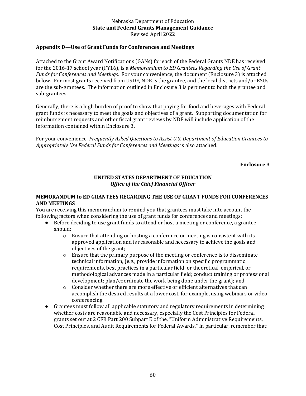## <span id="page-59-0"></span>**Appendix D—Use of Grant Funds for Conferences and Meetings**

Attached to the Grant Award Notifications (GANs) for each of the Federal Grants NDE has received for the 2016-17 school year (FY16), is a *Memorandum to ED Grantees Regarding the Use of Grant Funds for Conferences and Meetings.* For your convenience, the document (Enclosure 3) is attached below. For most grants received from USDE, NDE is the grantee, and the local districts and/or ESUs are the sub-grantees. The information outlined in Enclosure 3 is pertinent to both the grantee and sub-grantees.

Generally, there is a high burden of proof to show that paying for food and beverages with Federal grant funds is necessary to meet the goals and objectives of a grant. Supporting documentation for reimbursement requests and other fiscal grant reviews by NDE will include application of the information contained within Enclosure 3.

For your convenience, *Frequently Asked Questions to Assist U.S. Department of Education Grantees to Appropriately Use Federal Funds for Conferences and Meetings* is also attached.

**Enclosure 3**

#### **UNITED STATES DEPARTMENT OF EDUCATION** *Office of the Chief Financial Officer*

#### **MEMORANDUM to ED GRANTEES REGARDING THE USE OF GRANT FUNDS FOR CONFERENCES AND MEETINGS**

You are receiving this memorandum to remind you that grantees must take into account the following factors when considering the use of grant funds for conferences and meetings:

- Before deciding to use grant funds to attend or host a meeting or conference, a grantee should:
	- $\circ$  Ensure that attending or hosting a conference or meeting is consistent with its approved application and is reasonable and necessary to achieve the goals and objectives of the grant;
	- o Ensure that the primary purpose of the meeting or conference is to disseminate technical information, (e.g., provide information on specific programmatic requirements, best practices in a particular field, or theoretical, empirical, or methodological advances made in a particular field; conduct training or professional development; plan/coordinate the work being done under the grant); and
	- o Consider whether there are more effective or efficient alternatives that can accomplish the desired results at a lower cost, for example, using webinars or video conferencing.
- Grantees must follow all applicable statutory and regulatory requirements in determining whether costs are reasonable and necessary, especially the Cost Principles for Federal grants set out at 2 CFR Part 200 Subpart E of the, "Uniform Administrative Requirements, Cost Principles, and Audit Requirements for Federal Awards." In particular, remember that: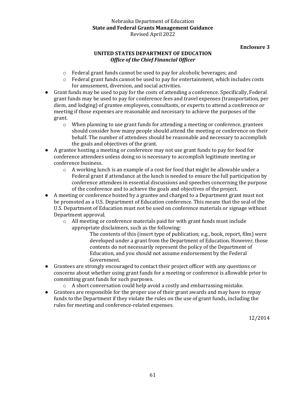## **Enclosure 3**

## **UNITED STATES DEPARTMENT OF EDUCATION** *Office of the Chief Financial Officer*

- o Federal grant funds cannot be used to pay for alcoholic beverages; and
- $\circ$  Federal grant funds cannot be used to pay for entertainment, which includes costs for amusement, diversion, and social activities.
- Grant funds may be used to pay for the costs of attending a conference. Specifically, Federal grant funds may be used to pay for conference fees and travel expenses (transportation, per diem, and lodging) of grantee employees, consultants, or experts to attend a conference or meeting if those expenses are reasonable and necessary to achieve the purposes of the grant.
	- $\circ$  When planning to use grant funds for attending a meeting or conference, grantees should consider how many people should attend the meeting or conference on their behalf. The number of attendees should be reasonable and necessary to accomplish the goals and objectives of the grant.
- A grantee hosting a meeting or conference may not use grant funds to pay for food for conference attendees unless doing so is necessary to accomplish legitimate meeting or conference business.
	- $\circ$  A working lunch is an example of a cost for food that might be allowable under a Federal grant if attendance at the lunch is needed to ensure the full participation by conference attendees in essential discussions and speeches concerning the purpose of the conference and to achieve the goals and objectives of the project.
- A meeting or conference hosted by a grantee and charged to a Department grant must not be promoted as a U.S. Department of Education conference. This means that the seal of the U.S. Department of Education must not be used on conference materials or signage without Department approval.
	- o All meeting or conference materials paid for with grant funds must include appropriate disclaimers, such as the following:

The contents of this (insert type of publication; e.g., book, report, film) were developed under a grant from the Department of Education. However, those contents do not necessarily represent the policy of the Department of Education, and you should not assume endorsement by the Federal Government.

- Grantees are strongly encouraged to contact their project officer with any questions or concerns about whether using grant funds for a meeting or conference is allowable prior to committing grant funds for such purposes.
	- o A short conversation could help avoid a costly and embarrassing mistake.
- Grantees are responsible for the proper use of their grant awards and may have to repay funds to the Department if they violate the rules on the use of grant funds, including the rules for meeting and conference-related expenses.

12/2014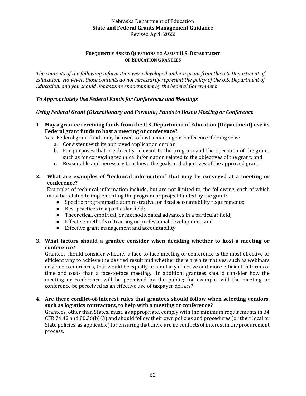#### **FREQUENTLY ASKED QUESTIONS TO ASSIST U.S. DEPARTMENT OF EDUCATION GRANTEES**

*The contents of the following information were developed under a grant from the U.S. Department of Education. However, those contents do not necessarily represent the policy of the U.S. Department of Education, and you should not assume endorsement by the Federal Government.*

## *To Appropriately Use Federal Funds for Conferences and Meetings*

## *Using Federal Grant (Discretionary and Formula) Funds to Host a Meeting or Conference*

**1. May a grantee receiving funds from the U.S. Department of Education (Department) use its Federal grant funds to host a meeting or conference?**

Yes. Federal grant funds may be used to host a meeting or conference if doing so is:

- a. Consistent with its approved application or plan;
- b. For purposes that are directly relevant to the program and the operation of the grant, such as for conveying technical information related to the objectives of the grant; and
- c. Reasonable and necessary to achieve the goals and objectives of the approved grant.

## **2. What are examples of "technical information" that may be conveyed at a meeting or conference?**

Examples of technical information include, but are not limited to, the following, each of which must be related to implementing the program or project funded by the grant:

- Specific programmatic, administrative, or fiscal accountability requirements;
- Best practices in a particular field;
- Theoretical, empirical, or methodological advances in a particular field;
- Effective methods of training or professional development; and
- Effective grant management and accountability.

## **3. What factors should a grantee consider when deciding whether to host a meeting or conference?**

Grantees should consider whether a face-to-face meeting or conference is the most effective or efficient way to achieve the desired result and whether there are alternatives, such as webinars or video conferences, that would be equally or similarly effective and more efficient in terms of time and costs than a face-to-face meeting. In addition, grantees should consider how the meeting or conference will be perceived by the public; for example, will the meeting or conference be perceived as an effective use of taxpayer dollars?

## **4. Are there conflict-of-interest rules that grantees should follow when selecting vendors, such as logistics contractors, to help with a meeting or conference?**

Grantees, other than States, must, as appropriate, comply with the minimum requirements in 34 CFR 74.42 and 80.36(b)(3) and should follow their own policies and procedures (or their local or State policies, as applicable) for ensuring that there are no conflicts of interest in the procurement process.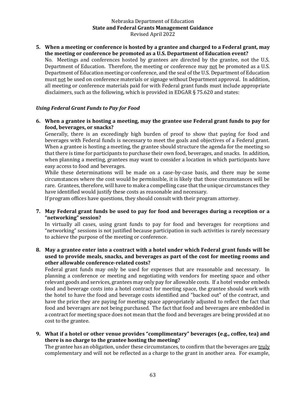#### **5. When a meeting or conference is hosted by a grantee and charged to a Federal grant, may the meeting or conference be promoted as a U.S. Department of Education event?**

No. Meetings and conferences hosted by grantees are directed by the grantee, not the U.S. Department of Education. Therefore, the meeting or conference may not be promoted as a U.S. Department of Education meeting or conference, and the seal of the U.S. Department of Education must not be used on conference materials or signage without Department approval. In addition, all meeting or conference materials paid for with Federal grant funds must include appropriate disclaimers, such as the following, which is provided in EDGAR § 75.620 and states:

## *Using Federal Grant Funds to Pay for Food*

**6. When a grantee is hosting a meeting, may the grantee use Federal grant funds to pay for food, beverages, or snacks?**

Generally, there is an exceedingly high burden of proof to show that paying for food and beverages with Federal funds is necessary to meet the goals and objectives of a Federal grant. When a grantee is hosting a meeting, the grantee should structure the agenda for the meeting so that there is time for participants to purchase their own food, beverages, and snacks. In addition, when planning a meeting, grantees may want to consider a location in which participants have easy access to food and beverages.

While these determinations will be made on a case-by-case basis, and there may be some circumstances where the cost would be permissible, it is likely that those circumstances will be rare. Grantees, therefore, will have to make a compelling case that the unique circumstances they have identified would justify these costs as reasonable and necessary.

If program offices have questions, they should consult with their program attorney.

**7. May Federal grant funds be used to pay for food and beverages during a reception or a "networking" session?** 

In virtually all cases, using grant funds to pay for food and beverages for receptions and "networking" sessions is not justified because participation in such activities is rarely necessary to achieve the purpose of the meeting or conference.

**8. May a grantee enter into a contract with a hotel under which Federal grant funds will be used to provide meals, snacks, and beverages as part of the cost for meeting rooms and other allowable conference-related costs?**

Federal grant funds may only be used for expenses that are reasonable and necessary. In planning a conference or meeting and negotiating with vendors for meeting space and other relevant goods and services, grantees may only pay for allowable costs. If a hotel vendor embeds food and beverage costs into a hotel contract for meeting space, the grantee should work with the hotel to have the food and beverage costs identified and "backed out" of the contract, and have the price they are paying for meeting space appropriately adjusted to reflect the fact that food and beverages are not being purchased. The fact that food and beverages are embedded in a contract for meeting space does not mean that the food and beverages are being provided at no cost to the grantee.

**9. What if a hotel or other venue provides "complimentary" beverages (e.g., coffee, tea) and there is no charge to the grantee hosting the meeting?** 

The grantee has an obligation, under these circumstances, to confirm that the beverages are truly complementary and will not be reflected as a charge to the grant in another area. For example,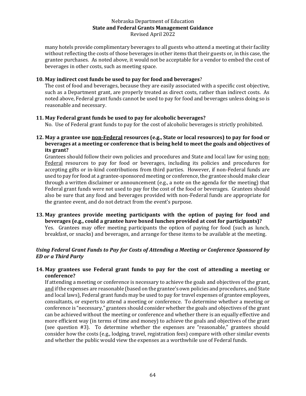many hotels provide complimentary beverages to all guests who attend a meeting at their facility without reflecting the costs of those beverages in other items that their guests or, in this case, the grantee purchases. As noted above, it would not be acceptable for a vendor to embed the cost of beverages in other costs, such as meeting space.

## **10. May indirect cost funds be used to pay for food and beverages**?

The cost of food and beverages, because they are easily associated with a specific cost objective, such as a Department grant, are properly treated as direct costs, rather than indirect costs. As noted above, Federal grant funds cannot be used to pay for food and beverages unless doing so is reasonable and necessary.

## **11. May Federal grant funds be used to pay for alcoholic beverages?**

No. Use of Federal grant funds to pay for the cost of alcoholic beverages is strictly prohibited.

## **12. May a grantee use non-Federal resources (e.g., State or local resources) to pay for food or beverages at a meeting or conference that is being held to meet the goals and objectives of its grant?**

Grantees should follow their own policies and procedures and State and local law for using non-Federal resources to pay for food or beverages, including its policies and procedures for accepting gifts or in-kind contributions from third parties. However, if non-Federal funds are used to pay for food at a grantee-sponsored meeting or conference, the grantee should make clear through a written disclaimer or announcement (e.g., a note on the agenda for the meeting) that Federal grant funds were not used to pay for the cost of the food or beverages. Grantees should also be sure that any food and beverages provided with non-Federal funds are appropriate for the grantee event, and do not detract from the event's purpose.

**13. May grantees provide meeting participants with the option of paying for food and beverages (e.g., could a grantee have boxed lunches provided at cost for participants)?** Yes. Grantees may offer meeting participants the option of paying for food (such as lunch, breakfast, or snacks) and beverages, and arrange for these items to be available at the meeting.

## *Using Federal Grant Funds to Pay for Costs of Attending a Meeting or Conference Sponsored by ED or a Third Party*

## **14. May grantees use Federal grant funds to pay for the cost of attending a meeting or conference?**

If attending a meeting or conference is necessary to achieve the goals and objectives of the grant, and if the expenses are reasonable (based on the grantee's own policies and procedures, and State and local laws), Federal grant funds may be used to pay for travel expenses of grantee employees, consultants, or experts to attend a meeting or conference. To determine whether a meeting or conference is "necessary," grantees should consider whether the goals and objectives of the grant can be achieved without the meeting or conference and whether there is an equally effective and more efficient way (in terms of time and money) to achieve the goals and objectives of the grant (see question #3). To determine whether the expenses are "reasonable," grantees should consider how the costs (e.g., lodging, travel, registration fees) compare with other similar events and whether the public would view the expenses as a worthwhile use of Federal funds.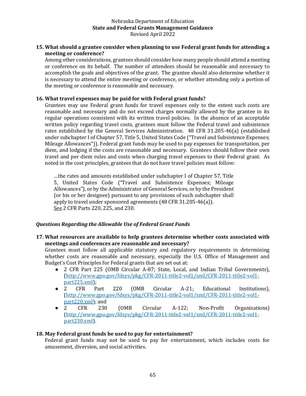## **15. What should a grantee consider when planning to use Federal grant funds for attending a meeting or conference?**

Among other considerations, grantees should consider how many people should attend a meeting or conference on its behalf. The number of attendees should be reasonable and necessary to accomplish the goals and objectives of the grant. The grantee should also determine whether it is necessary to attend the entire meeting or conference, or whether attending only a portion of the meeting or conference is reasonable and necessary.

## **16. What travel expenses may be paid for with Federal grant funds?**

Grantees may use Federal grant funds for travel expenses only to the extent such costs are reasonable and necessary and do not exceed charges normally allowed by the grantee in its regular operations consistent with its written travel policies. In the absence of an acceptable written policy regarding travel costs, grantees must follow the Federal travel and subsistence rates established by the General Services Administration. 48 CFR 31.205-46(a) (established under subchapter I of Chapter 57, Title 5, United States Code ("Travel and Subsistence Expenses; Mileage Allowances")). Federal grant funds may be used to pay expenses for transportation, per diem, and lodging if the costs are reasonable and necessary. Grantees should follow their own travel and per diem rules and costs when charging travel expenses to their Federal grant. As noted in the cost principles, grantees that do not have travel policies must follow:

…the rates and amounts established under subchapter I of Chapter 57, Title 5, United States Code ("Travel and Subsistence Expenses; Mileage Allowances"), or by the Administrator of General Services, or by the President (or his or her designee) pursuant to any provisions of such subchapter shall apply to travel under sponsored agreements (48 CFR 31.205-46(a)). See 2 CFR Parts 220, 225, and 230.

## *Questions Regarding the Allowable Use of Federal Grant Funds*

## **17. What resources are available to help grantees determine whether costs associated with meetings and conferences are reasonable and necessary?**

Grantees must follow all applicable statutory and regulatory requirements in determining whether costs are reasonable and necessary, especially the U.S. Office of Management and Budget's Cost Principles for Federal grants that are set out at:

- 2 CFR Part 225 (OMB Circular A-87; State, Local, and Indian Tribal Governments), [\(http://www.gpo.gov/fdsys/pkg/CFR-2011-title2-vol1/xml/CFR-2011-title2-vol1](http://www.gpo.gov/fdsys/pkg/CFR-2011-title2-vol1/xml/CFR-2011-title2-vol1-part225.xml) [part225.xml\)](http://www.gpo.gov/fdsys/pkg/CFR-2011-title2-vol1/xml/CFR-2011-title2-vol1-part225.xml);
- 2 CFR Part 220 (OMB Circular A-21; Educational Institutions), [\(http://www.gpo.gov/fdsys/pkg/CFR-2011-title2-vol1/xml/CFR-2011-title2-vol1](http://www.gpo.gov/fdsys/pkg/CFR-2011-title2-vol1/xml/CFR-2011-title2-vol1-part220.xml) [part220.xml\)](http://www.gpo.gov/fdsys/pkg/CFR-2011-title2-vol1/xml/CFR-2011-title2-vol1-part220.xml); and
- 2 CFR 230 (OMB Circular A-122; Non-Profit Organizations) [\(http://www.gpo.gov/fdsys/pkg/CFR-2011-title2-vol1/xml/CFR-2011-title2-vol1](http://www.gpo.gov/fdsys/pkg/CFR-2011-title2-vol1/xml/CFR-2011-title2-vol1-part230.xml) [part230.xml\)](http://www.gpo.gov/fdsys/pkg/CFR-2011-title2-vol1/xml/CFR-2011-title2-vol1-part230.xml).

## **18. May Federal grant funds be used to pay for entertainment?**

Federal grant funds may not be used to pay for entertainment, which includes costs for amusement, diversion, and social activities.